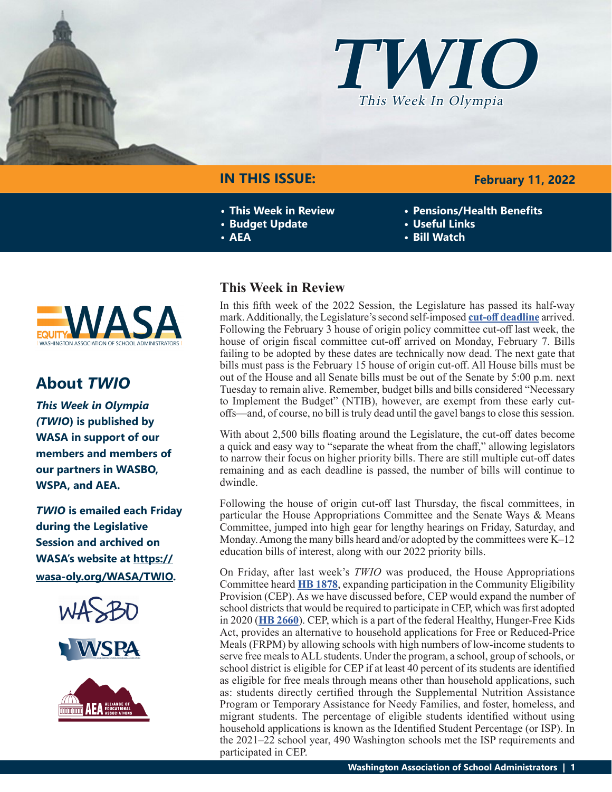



# **IN THIS ISSUE:**

- **• This Week in Review**
- **• Budget Update**
- **• AEA**
- **WAS**

# **About** *TWIO*

*This Week in Olympia (TWIO***) is published by WASA in support of our members and members of our partners in WASBO, WSPA, and AEA.**

*TWIO* **is emailed each Friday during the Legislative Session and archived on WASA's website at [https://](http://app.leg.wa.gov/billsummary?Year=2021&BillNumber=1803) [wasa-oly.org/WASA/TWIO](http://app.leg.wa.gov/billsummary?Year=2021&BillNumber=1803).** 





# **This Week in Review**

In this fifth week of the 2022 Session, the Legislature has passed its half-way mark. Additionally, the Legislature's second self-imposed **[cut-off deadline](https://leg.wa.gov/legislature/Pages/cutoff.aspx)** arrived. Following the February 3 house of origin policy committee cut-off last week, the house of origin fiscal committee cut-off arrived on Monday, February 7. Bills failing to be adopted by these dates are technically now dead. The next gate that bills must pass is the February 15 house of origin cut-off. All House bills must be out of the House and all Senate bills must be out of the Senate by 5:00 p.m. next Tuesday to remain alive. Remember, budget bills and bills considered "Necessary to Implement the Budget" (NTIB), however, are exempt from these early cutoffs—and, of course, no bill is truly dead until the gavel bangs to close this session.

With about 2,500 bills floating around the Legislature, the cut-off dates become a quick and easy way to "separate the wheat from the chaff," allowing legislators to narrow their focus on higher priority bills. There are still multiple cut-off dates remaining and as each deadline is passed, the number of bills will continue to dwindle.

Following the house of origin cut-off last Thursday, the fiscal committees, in particular the House Appropriations Committee and the Senate Ways  $\&$  Means Committee, jumped into high gear for lengthy hearings on Friday, Saturday, and Monday. Among the many bills heard and/or adopted by the committees were K–12 education bills of interest, along with our 2022 priority bills.

On Friday, after last week's *TWIO* was produced, the House Appropriations Committee heard **[HB 1878](https://app.leg.wa.gov/billsummary?BillNumber=1878&Year=2021&Initiative=false)**, expanding participation in the Community Eligibility Provision (CEP). As we have discussed before, CEP would expand the number of school districts that would be required to participate in CEP, which was first adopted in 2020 (**[HB 2660](https://app.leg.wa.gov/billsummary?BillNumber=2660&Year=2019&Initiative=false)**). CEP, which is a part of the federal Healthy, Hunger-Free Kids Act, provides an alternative to household applications for Free or Reduced-Price Meals (FRPM) by allowing schools with high numbers of low-income students to serve free meals to ALL students. Under the program, a school, group of schools, or school district is eligible for CEP if at least 40 percent of its students are identified as eligible for free meals through means other than household applications, such as: students directly certified through the Supplemental Nutrition Assistance Program or Temporary Assistance for Needy Families, and foster, homeless, and migrant students. The percentage of eligible students identified without using household applications is known as the Identified Student Percentage (or ISP). In the 2021–22 school year, 490 Washington schools met the ISP requirements and participated in CEP.

## **February 11, 2022**

- **• Pensions/Health Benefits**
- **• Useful Links**
- **• Bill Watch**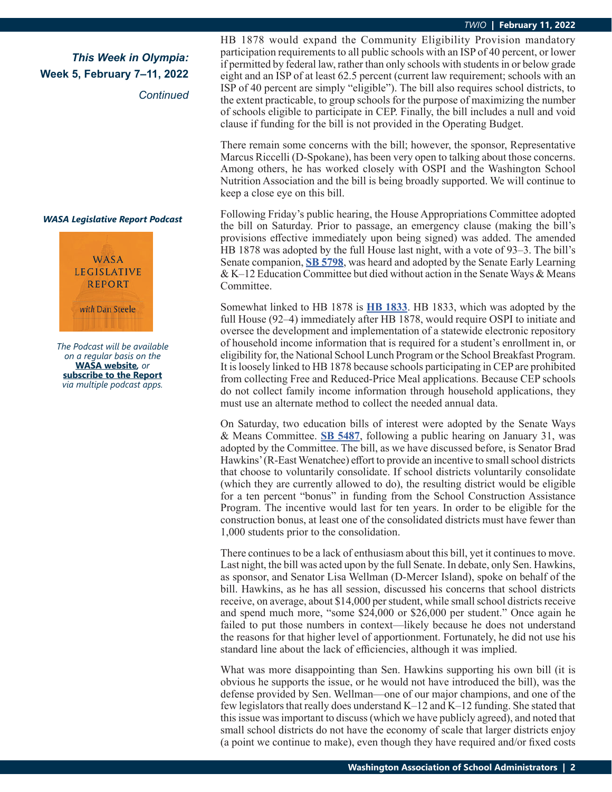# *This Week in Olympia:* **Week 5, February 7–11, 2022**

*Continued*

#### *WASA Legislative Report Podcast*



*The Podcast will be available on a regular basis on the*  **[WASA website](http://app.leg.wa.gov/billsummary?Year=2021&BillNumber=1630)***, or* **[subscribe to the Report](http://app.leg.wa.gov/billsummary?Year=2021&BillNumber=1629)** *via multiple podcast apps.*

HB 1878 would expand the Community Eligibility Provision mandatory participation requirements to all public schools with an ISP of 40 percent, or lower if permitted by federal law, rather than only schools with students in or below grade eight and an ISP of at least 62.5 percent (current law requirement; schools with an ISP of 40 percent are simply "eligible"). The bill also requires school districts, to the extent practicable, to group schools for the purpose of maximizing the number of schools eligible to participate in CEP. Finally, the bill includes a null and void clause if funding for the bill is not provided in the Operating Budget.

There remain some concerns with the bill; however, the sponsor, Representative Marcus Riccelli (D-Spokane), has been very open to talking about those concerns. Among others, he has worked closely with OSPI and the Washington School Nutrition Association and the bill is being broadly supported. We will continue to keep a close eye on this bill.

Following Friday's public hearing, the House Appropriations Committee adopted the bill on Saturday. Prior to passage, an emergency clause (making the bill's provisions effective immediately upon being signed) was added. The amended HB 1878 was adopted by the full House last night, with a vote of 93–3. The bill's Senate companion, **[SB 5798](https://app.leg.wa.gov/billsummary?BillNumber=5798&Initiative=false&Year=2021)**, was heard and adopted by the Senate Early Learning & K–12 Education Committee but died without action in the Senate Ways & Means Committee.

Somewhat linked to HB 1878 is **[HB 1833](https://app.leg.wa.gov/billsummary?BillNumber=1833&Initiative=false&Year=2021)**. HB 1833, which was adopted by the full House (92–4) immediately after HB 1878, would require OSPI to initiate and oversee the development and implementation of a statewide electronic repository of household income information that is required for a student's enrollment in, or eligibility for, the National School Lunch Program or the School Breakfast Program. It is loosely linked to HB 1878 because schools participating in CEP are prohibited from collecting Free and Reduced-Price Meal applications. Because CEP schools do not collect family income information through household applications, they must use an alternate method to collect the needed annual data.

On Saturday, two education bills of interest were adopted by the Senate Ways & Means Committee. **[SB 5487](https://app.leg.wa.gov/billsummary?BillNumber=5487&Initiative=false&Year=2021)**, following a public hearing on January 31, was adopted by the Committee. The bill, as we have discussed before, is Senator Brad Hawkins' (R-East Wenatchee) effort to provide an incentive to small school districts that choose to voluntarily consolidate. If school districts voluntarily consolidate (which they are currently allowed to do), the resulting district would be eligible for a ten percent "bonus" in funding from the School Construction Assistance Program. The incentive would last for ten years. In order to be eligible for the construction bonus, at least one of the consolidated districts must have fewer than 1,000 students prior to the consolidation.

There continues to be a lack of enthusiasm about this bill, yet it continues to move. Last night, the bill was acted upon by the full Senate. In debate, only Sen. Hawkins, as sponsor, and Senator Lisa Wellman (D-Mercer Island), spoke on behalf of the bill. Hawkins, as he has all session, discussed his concerns that school districts receive, on average, about \$14,000 per student, while small school districts receive and spend much more, "some \$24,000 or \$26,000 per student." Once again he failed to put those numbers in context—likely because he does not understand the reasons for that higher level of apportionment. Fortunately, he did not use his standard line about the lack of efficiencies, although it was implied.

What was more disappointing than Sen. Hawkins supporting his own bill (it is obvious he supports the issue, or he would not have introduced the bill), was the defense provided by Sen. Wellman—one of our major champions, and one of the few legislators that really does understand K–12 and K–12 funding. She stated that this issue was important to discuss (which we have publicly agreed), and noted that small school districts do not have the economy of scale that larger districts enjoy (a point we continue to make), even though they have required and/or fixed costs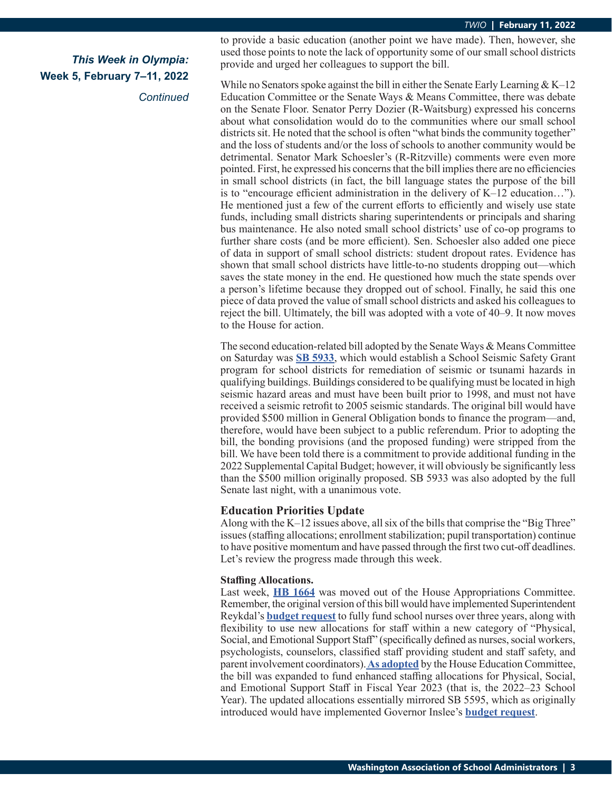*Continued*

to provide a basic education (another point we have made). Then, however, she used those points to note the lack of opportunity some of our small school districts provide and urged her colleagues to support the bill.

While no Senators spoke against the bill in either the Senate Early Learning  $& K-12$ Education Committee or the Senate Ways & Means Committee, there was debate on the Senate Floor. Senator Perry Dozier (R-Waitsburg) expressed his concerns about what consolidation would do to the communities where our small school districts sit. He noted that the school is often "what binds the community together" and the loss of students and/or the loss of schools to another community would be detrimental. Senator Mark Schoesler's (R-Ritzville) comments were even more pointed. First, he expressed his concerns that the bill implies there are no efficiencies in small school districts (in fact, the bill language states the purpose of the bill is to "encourage efficient administration in the delivery of K–12 education…"). He mentioned just a few of the current efforts to efficiently and wisely use state funds, including small districts sharing superintendents or principals and sharing bus maintenance. He also noted small school districts' use of co-op programs to further share costs (and be more efficient). Sen. Schoesler also added one piece of data in support of small school districts: student dropout rates. Evidence has shown that small school districts have little-to-no students dropping out—which saves the state money in the end. He questioned how much the state spends over a person's lifetime because they dropped out of school. Finally, he said this one piece of data proved the value of small school districts and asked his colleagues to reject the bill. Ultimately, the bill was adopted with a vote of 40–9. It now moves to the House for action.

The second education-related bill adopted by the Senate Ways & Means Committee on Saturday was **[SB 5933](https://app.leg.wa.gov/billsummary?BillNumber=5933&Initiative=false&Year=2021)**, which would establish a School Seismic Safety Grant program for school districts for remediation of seismic or tsunami hazards in qualifying buildings. Buildings considered to be qualifying must be located in high seismic hazard areas and must have been built prior to 1998, and must not have received a seismic retrofit to 2005 seismic standards. The original bill would have provided \$500 million in General Obligation bonds to finance the program—and, therefore, would have been subject to a public referendum. Prior to adopting the bill, the bonding provisions (and the proposed funding) were stripped from the bill. We have been told there is a commitment to provide additional funding in the 2022 Supplemental Capital Budget; however, it will obviously be significantly less than the \$500 million originally proposed. SB 5933 was also adopted by the full Senate last night, with a unanimous vote.

#### **Education Priorities Update**

Along with the K–12 issues above, all six of the bills that comprise the "Big Three" issues (staffing allocations; enrollment stabilization; pupil transportation) continue to have positive momentum and have passed through the first two cut-off deadlines. Let's review the progress made through this week.

#### **Staffing Allocations.**

Last week, **[HB 1664](https://app.leg.wa.gov/billsummary?BillNumber=1644&Initiative=false&Year=2021)** was moved out of the House Appropriations Committee. Remember, the original version of this bill would have implemented Superintendent Reykdal's **[budget request](https://www.k12.wa.us/sites/default/files/public/communications/2021docs/P4-Equitable-and-Sufficient-Access-to-Physical-Social-and-Emotional-Support-Staff.pdf)** to fully fund school nurses over three years, along with flexibility to use new allocations for staff within a new category of "Physical, Social, and Emotional Support Staff" (specifically defined as nurses, social workers, psychologists, counselors, classified staff providing student and staff safety, and parent involvement coordinators). **[As adopted](https://app.leg.wa.gov/committeeschedules/Home/Document/238539#toolbar=0&navpanes=0)** by the House Education Committee, the bill was expanded to fund enhanced staffing allocations for Physical, Social, and Emotional Support Staff in Fiscal Year 2023 (that is, the 2022–23 School Year). The updated allocations essentially mirrored SB 5595, which as originally introduced would have implemented Governor Inslee's **[budget request](https://ofm.wa.gov/budget/state-budgets/gov-inslees-proposed-2022-supplemental-budgets)**.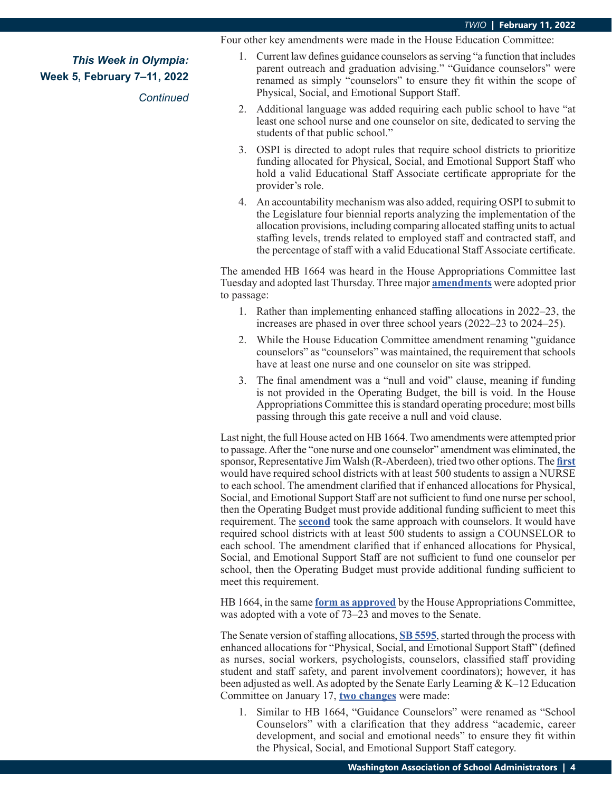Four other key amendments were made in the House Education Committee:

*This Week in Olympia:* **Week 5, February 7–11, 2022**

*Continued*

- 1. Current law defines guidance counselors as serving "a function that includes parent outreach and graduation advising." "Guidance counselors" were renamed as simply "counselors" to ensure they fit within the scope of Physical, Social, and Emotional Support Staff.
- 2. Additional language was added requiring each public school to have "at least one school nurse and one counselor on site, dedicated to serving the students of that public school."
- 3. OSPI is directed to adopt rules that require school districts to prioritize funding allocated for Physical, Social, and Emotional Support Staff who hold a valid Educational Staff Associate certificate appropriate for the provider's role.
- 4. An accountability mechanism was also added, requiring OSPI to submit to the Legislature four biennial reports analyzing the implementation of the allocation provisions, including comparing allocated staffing units to actual staffing levels, trends related to employed staff and contracted staff, and the percentage of staff with a valid Educational Staff Associate certificate.

The amended HB 1664 was heard in the House Appropriations Committee last Tuesday and adopted last Thursday. Three major **[amendments](https://app.leg.wa.gov/committeeschedules/Home/Document/241134#toolbar=0&navpanes=0)** were adopted prior to passage:

- 1. Rather than implementing enhanced staffing allocations in 2022–23, the increases are phased in over three school years (2022–23 to 2024–25).
- 2. While the House Education Committee amendment renaming "guidance counselors" as "counselors" was maintained, the requirement that schools have at least one nurse and one counselor on site was stripped.
- 3. The final amendment was a "null and void" clause, meaning if funding is not provided in the Operating Budget, the bill is void. In the House Appropriations Committee this is standard operating procedure; most bills passing through this gate receive a null and void clause.

Last night, the full House acted on HB 1664. Two amendments were attempted prior to passage. After the "one nurse and one counselor" amendment was eliminated, the sponsor, Representative Jim Walsh (R-Aberdeen), tried two other options. The **[first](https://lawfilesext.leg.wa.gov/biennium/2021-22/Pdf/Amendments/House/1664-S2 AMH WALJ WARG 543.pdf)** would have required school districts with at least 500 students to assign a NURSE to each school. The amendment clarified that if enhanced allocations for Physical, Social, and Emotional Support Staff are not sufficient to fund one nurse per school, then the Operating Budget must provide additional funding sufficient to meet this requirement. The **[second](https://lawfilesext.leg.wa.gov/biennium/2021-22/Pdf/Amendments/House/1664-S2 AMH WALJ WARG 545.pdf)** took the same approach with counselors. It would have required school districts with at least 500 students to assign a COUNSELOR to each school. The amendment clarified that if enhanced allocations for Physical, Social, and Emotional Support Staff are not sufficient to fund one counselor per school, then the Operating Budget must provide additional funding sufficient to meet this requirement.

HB 1664, in the same **[form as approved](https://lawfilesext.leg.wa.gov/biennium/2021-22/Pdf/Bills/House Bills/1664-S2.pdf#page=1)** by the House Appropriations Committee, was adopted with a vote of 73–23 and moves to the Senate.

The Senate version of staffing allocations, **[SB 5595](https://app.leg.wa.gov/billsummary?BillNumber=5595&Initiative=false&Year=2021)**, started through the process with enhanced allocations for "Physical, Social, and Emotional Support Staff" (defined as nurses, social workers, psychologists, counselors, classified staff providing student and staff safety, and parent involvement coordinators); however, it has been adjusted as well. As adopted by the Senate Early Learning & K–12 Education Committee on January 17, **[two changes](https://app.leg.wa.gov/committeeschedules/Home/Document/237592#toolbar=0&navpanes=0)** were made:

1. Similar to HB 1664, "Guidance Counselors" were renamed as "School Counselors" with a clarification that they address "academic, career development, and social and emotional needs" to ensure they fit within the Physical, Social, and Emotional Support Staff category.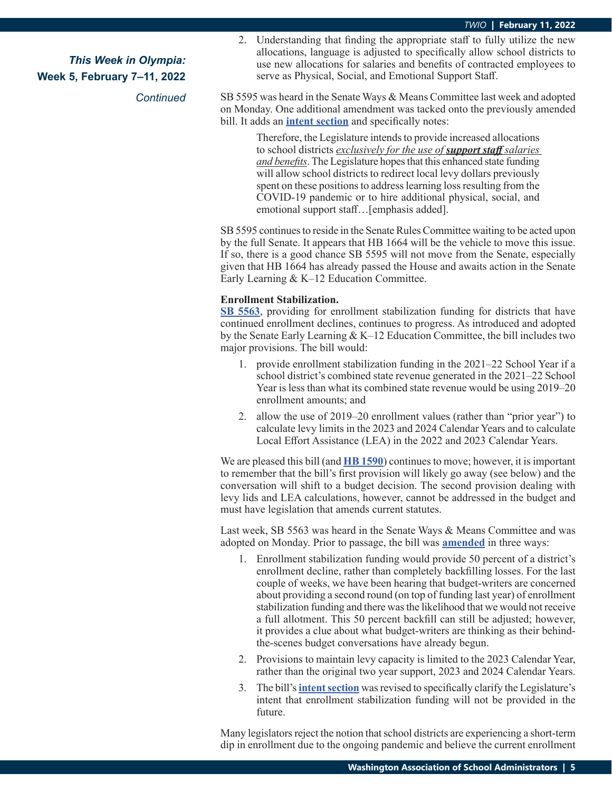*Continued*

2. Understanding that finding the appropriate staff to fully utilize the new allocations, language is adjusted to specifically allow school districts to use new allocations for salaries and benefits of contracted employees to serve as Physical, Social, and Emotional Support Staff.

SB 5595 was heard in the Senate Ways & Means Committee last week and adopted on Monday. One additional amendment was tacked onto the previously amended bill. It adds an **[intent section](https://app.leg.wa.gov/committeeschedules/Home/Document/241977#toolbar=0&navpanes=0)** and specifically notes:

> Therefore, the Legislature intends to provide increased allocations to school districts *exclusively for the use of support staff salaries and benefits*. The Legislature hopes that this enhanced state funding will allow school districts to redirect local levy dollars previously spent on these positions to address learning loss resulting from the COVID-19 pandemic or to hire additional physical, social, and emotional support staff...[emphasis added].

SB 5595 continues to reside in the Senate Rules Committee waiting to be acted upon by the full Senate. It appears that HB 1664 will be the vehicle to move this issue. If so, there is a good chance SB 5595 will not move from the Senate, especially given that HB 1664 has already passed the House and awaits action in the Senate Early Learning & K–12 Education Committee.

#### **Enrollment Stabilization.**

**[SB 5563](https://app.leg.wa.gov/billsummary?BillNumber=5563&Initiative=false&Year=2021)**, providing for enrollment stabilization funding for districts that have continued enrollment declines, continues to progress. As introduced and adopted by the Senate Early Learning & K–12 Education Committee, the bill includes two major provisions. The bill would:

- 1. provide enrollment stabilization funding in the 2021–22 School Year if a school district's combined state revenue generated in the 2021–22 School Year is less than what its combined state revenue would be using 2019–20 enrollment amounts; and
- 2. allow the use of 2019–20 enrollment values (rather than "prior year") to calculate levy limits in the 2023 and 2024 Calendar Years and to calculate Local Effort Assistance (LEA) in the 2022 and 2023 Calendar Years.

We are pleased this bill (and **[HB 1590](https://app.leg.wa.gov/billsummary?BillNumber=1590&Initiative=false&Year=2021)**) continues to move; however, it is important to remember that the bill's first provision will likely go away (see below) and the conversation will shift to a budget decision. The second provision dealing with levy lids and LEA calculations, however, cannot be addressed in the budget and must have legislation that amends current statutes.

Last week, SB 5563 was heard in the Senate Ways & Means Committee and was adopted on Monday. Prior to passage, the bill was **[amended](https://app.leg.wa.gov/committeeschedules/Home/Document/241972#toolbar=0&navpanes=0)** in three ways:

- 1. Enrollment stabilization funding would provide 50 percent of a district's enrollment decline, rather than completely backfilling losses. For the last couple of weeks, we have been hearing that budget-writers are concerned about providing a second round (on top of funding last year) of enrollment stabilization funding and there was the likelihood that we would not receive a full allotment. This 50 percent backfill can still be adjusted; however, it provides a clue about what budget-writers are thinking as their behindthe-scenes budget conversations have already begun.
- 2. Provisions to maintain levy capacity is limited to the 2023 Calendar Year, rather than the original two year support, 2023 and 2024 Calendar Years.
- 3. The bill's **[intent section](https://app.leg.wa.gov/committeeschedules/Home/Document/242015#toolbar=0&navpanes=0)** was revised to specifically clarify the Legislature's intent that enrollment stabilization funding will not be provided in the future.

Many legislators reject the notion that school districts are experiencing a short-term dip in enrollment due to the ongoing pandemic and believe the current enrollment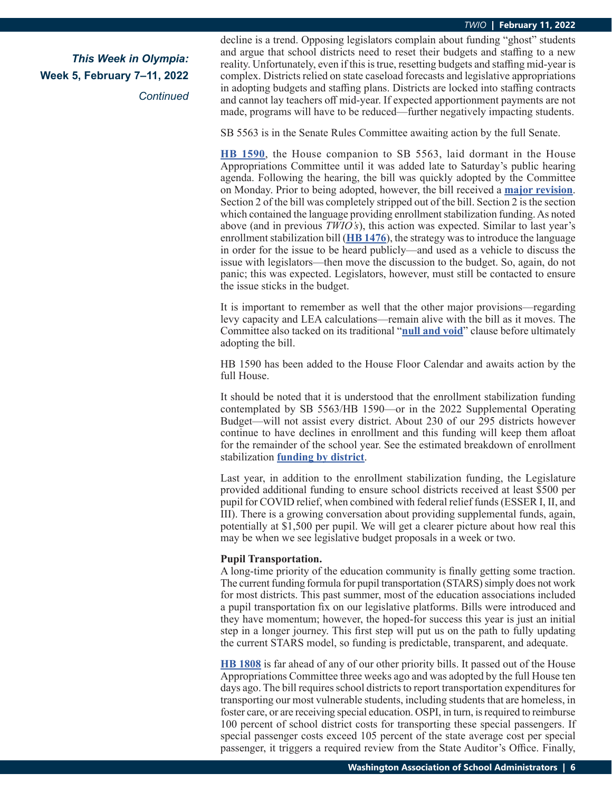*This Week in Olympia:* **Week 5, February 7–11, 2022**

*Continued*

decline is a trend. Opposing legislators complain about funding "ghost" students and argue that school districts need to reset their budgets and staffing to a new reality. Unfortunately, even if this is true, resetting budgets and staffing mid-year is complex. Districts relied on state caseload forecasts and legislative appropriations in adopting budgets and staffing plans. Districts are locked into staffing contracts and cannot lay teachers off mid-year. If expected apportionment payments are not made, programs will have to be reduced—further negatively impacting students.

SB 5563 is in the Senate Rules Committee awaiting action by the full Senate.

**[HB 1590](https://app.leg.wa.gov/billsummary?BillNumber=1590&Initiative=false&Year=2021)**, the House companion to SB 5563, laid dormant in the House Appropriations Committee until it was added late to Saturday's public hearing agenda. Following the hearing, the bill was quickly adopted by the Committee on Monday. Prior to being adopted, however, the bill received a **[major revision](https://app.leg.wa.gov/committeeschedules/Home/Document/242034#toolbar=0&navpanes=0)**. Section 2 of the bill was completely stripped out of the bill. Section 2 is the section which contained the language providing enrollment stabilization funding. As noted above (and in previous *TWIO's*), this action was expected. Similar to last year's enrollment stabilization bill (**[HB 1476](https://app.leg.wa.gov/billsummary?BillNumber=1472&Initiative=false&Year=2019)**), the strategy was to introduce the language in order for the issue to be heard publicly—and used as a vehicle to discuss the issue with legislators—then move the discussion to the budget. So, again, do not panic; this was expected. Legislators, however, must still be contacted to ensure the issue sticks in the budget.

It is important to remember as well that the other major provisions—regarding levy capacity and LEA calculations—remain alive with the bill as it moves. The Committee also tacked on its traditional "**[null and void](https://app.leg.wa.gov/committeeschedules/Home/Document/241984#toolbar=0&navpanes=0)**" clause before ultimately adopting the bill.

HB 1590 has been added to the House Floor Calendar and awaits action by the full House.

It should be noted that it is understood that the enrollment stabilization funding contemplated by SB 5563/HB 1590—or in the 2022 Supplemental Operating Budget—will not assist every district. About 230 of our 295 districts however continue to have declines in enrollment and this funding will keep them afloat for the remainder of the school year. See the estimated breakdown of enrollment stabilization **[funding by district](https://wasa-oly.org/WASA/images/WASA/4.0%20Government%20Relations/4.4.1%20This%20Week%20In%20Olympia%20-%20TWIO/Download_Files/TWIO%202022/SSB%205563%20enrollment%20stabilization_waysandmeans.xlsx)**.

Last year, in addition to the enrollment stabilization funding, the Legislature provided additional funding to ensure school districts received at least \$500 per pupil for COVID relief, when combined with federal relief funds (ESSER I, II, and III). There is a growing conversation about providing supplemental funds, again, potentially at \$1,500 per pupil. We will get a clearer picture about how real this may be when we see legislative budget proposals in a week or two.

#### **Pupil Transportation.**

A long-time priority of the education community is finally getting some traction. The current funding formula for pupil transportation (STARS) simply does not work for most districts. This past summer, most of the education associations included a pupil transportation fix on our legislative platforms. Bills were introduced and they have momentum; however, the hoped-for success this year is just an initial step in a longer journey. This first step will put us on the path to fully updating the current STARS model, so funding is predictable, transparent, and adequate.

**[HB 1808](https://app.leg.wa.gov/billsummary?BillNumber=1808&Initiative=false&Year=2021)** is far ahead of any of our other priority bills. It passed out of the House Appropriations Committee three weeks ago and was adopted by the full House ten days ago. The bill requires school districts to report transportation expenditures for transporting our most vulnerable students, including students that are homeless, in foster care, or are receiving special education. OSPI, in turn, is required to reimburse 100 percent of school district costs for transporting these special passengers. If special passenger costs exceed 105 percent of the state average cost per special passenger, it triggers a required review from the State Auditor's Office. Finally,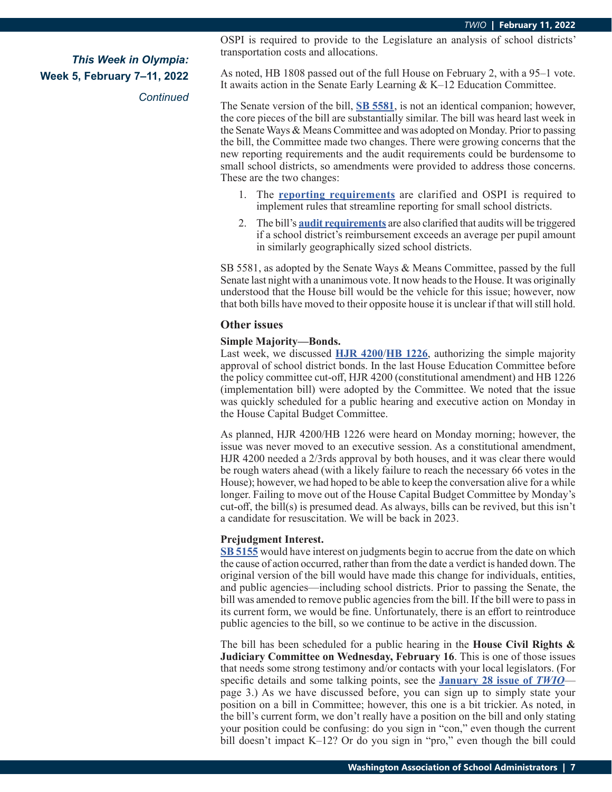*Continued*

OSPI is required to provide to the Legislature an analysis of school districts' transportation costs and allocations.

As noted, HB 1808 passed out of the full House on February 2, with a 95–1 vote. It awaits action in the Senate Early Learning & K–12 Education Committee.

The Senate version of the bill, **[SB 5581](https://app.leg.wa.gov/billsummary?BillNumber=5581&Initiative=false&Year=2021)**, is not an identical companion; however, the core pieces of the bill are substantially similar. The bill was heard last week in the Senate Ways & Means Committee and was adopted on Monday. Prior to passing the bill, the Committee made two changes. There were growing concerns that the new reporting requirements and the audit requirements could be burdensome to small school districts, so amendments were provided to address those concerns. These are the two changes:

- 1. The **[reporting requirements](https://app.leg.wa.gov/committeeschedules/Home/Document/241982#toolbar=0&navpanes=0)** are clarified and OSPI is required to implement rules that streamline reporting for small school districts.
- 2. The bill's **[audit requirements](https://app.leg.wa.gov/committeeschedules/Home/Document/241981#toolbar=0&navpanes=0)** are also clarified that audits will be triggered if a school district's reimbursement exceeds an average per pupil amount in similarly geographically sized school districts.

SB 5581, as adopted by the Senate Ways & Means Committee, passed by the full Senate last night with a unanimous vote. It now heads to the House. It was originally understood that the House bill would be the vehicle for this issue; however, now that both bills have moved to their opposite house it is unclear if that will still hold.

#### **Other issues**

#### **Simple Majority—Bonds.**

Last week, we discussed **HJR 4200**/**[HB 1226](https://app.leg.wa.gov/billsummary?BillNumber=4200&Year=2021&Initiative=false)**, authorizing the simple majority approval of school district bonds. In the last House Education Committee before the policy committee cut-off, HJR 4200 (constitutional amendment) and HB 1226 (implementation bill) were adopted by the Committee. We noted that the issue was quickly scheduled for a public hearing and executive action on Monday in the House Capital Budget Committee.

As planned, HJR 4200/HB 1226 were heard on Monday morning; however, the issue was never moved to an executive session. As a constitutional amendment, HJR 4200 needed a 2/3rds approval by both houses, and it was clear there would be rough waters ahead (with a likely failure to reach the necessary 66 votes in the House); however, we had hoped to be able to keep the conversation alive for a while longer. Failing to move out of the House Capital Budget Committee by Monday's cut-off, the bill(s) is presumed dead. As always, bills can be revived, but this isn't a candidate for resuscitation. We will be back in 2023.

#### **Prejudgment Interest.**

**[SB 5155](https://app.leg.wa.gov/billsummary?BillNumber=5155&Initiative=false&Year=2021)** would have interest on judgments begin to accrue from the date on which the cause of action occurred, rather than from the date a verdict is handed down. The original version of the bill would have made this change for individuals, entities, and public agencies—including school districts. Prior to passing the Senate, the bill was amended to remove public agencies from the bill. If the bill were to pass in its current form, we would be fine. Unfortunately, there is an effort to reintroduce public agencies to the bill, so we continue to be active in the discussion.

The bill has been scheduled for a public hearing in the **House Civil Rights & Judiciary Committee on Wednesday, February 16**. This is one of those issues that needs some strong testimony and/or contacts with your local legislators. (For specific details and some talking points, see the **[January 28 issue of](https://wasa-oly.org/WASA/images/WASA/4.0 Government Relations/4.4.1 This Week In Olympia - TWIO/Download_Files/TWIO 2022/Week 3 TWIO.pdf)** *TWIO* page 3.) As we have discussed before, you can sign up to simply state your position on a bill in Committee; however, this one is a bit trickier. As noted, in the bill's current form, we don't really have a position on the bill and only stating your position could be confusing: do you sign in "con," even though the current bill doesn't impact K–12? Or do you sign in "pro," even though the bill could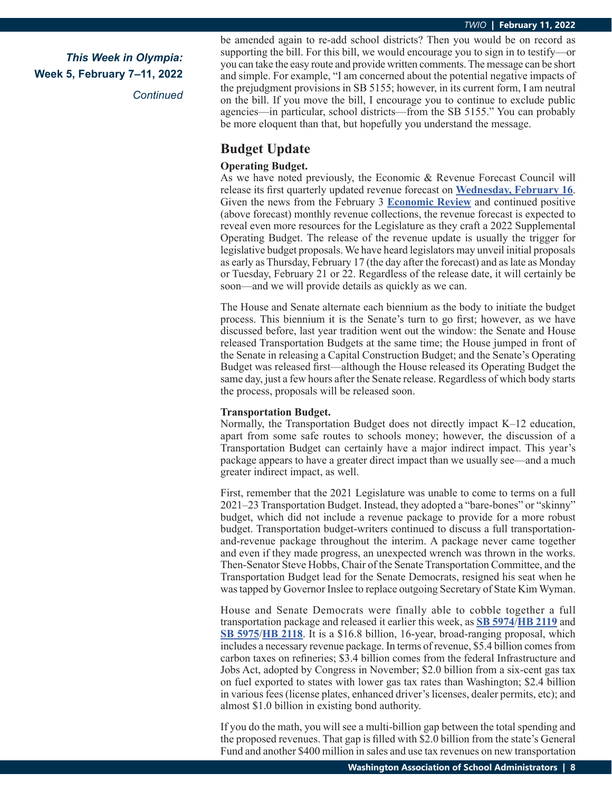*Continued*

be amended again to re-add school districts? Then you would be on record as supporting the bill. For this bill, we would encourage you to sign in to testify—or you can take the easy route and provide written comments. The message can be short and simple. For example, "I am concerned about the potential negative impacts of the prejudgment provisions in SB 5155; however, in its current form, I am neutral on the bill. If you move the bill, I encourage you to continue to exclude public agencies—in particular, school districts—from the SB 5155." You can probably be more eloquent than that, but hopefully you understand the message.

## **Budget Update**

#### **Operating Budget.**

As we have noted previously, the Economic & Revenue Forecast Council will release its first quarterly updated revenue forecast on **[Wednesday, February 16](https://erfc.wa.gov/sites/default/files/public/documents/meetings/02.16.22 Revenue Review Zoom information.pdf)**. Given the news from the February 3 **[Economic Review](https://erfc.wa.gov/sites/default/files/public/documents/meetings/ec20220203.pdf)** and continued positive (above forecast) monthly revenue collections, the revenue forecast is expected to reveal even more resources for the Legislature as they craft a 2022 Supplemental Operating Budget. The release of the revenue update is usually the trigger for legislative budget proposals. We have heard legislators may unveil initial proposals as early as Thursday, February 17 (the day after the forecast) and as late as Monday or Tuesday, February 21 or 22. Regardless of the release date, it will certainly be soon—and we will provide details as quickly as we can.

The House and Senate alternate each biennium as the body to initiate the budget process. This biennium it is the Senate's turn to go first; however, as we have discussed before, last year tradition went out the window: the Senate and House released Transportation Budgets at the same time; the House jumped in front of the Senate in releasing a Capital Construction Budget; and the Senate's Operating Budget was released first—although the House released its Operating Budget the same day, just a few hours after the Senate release. Regardless of which body starts the process, proposals will be released soon.

#### **Transportation Budget.**

Normally, the Transportation Budget does not directly impact K–12 education, apart from some safe routes to schools money; however, the discussion of a Transportation Budget can certainly have a major indirect impact. This year's package appears to have a greater direct impact than we usually see—and a much greater indirect impact, as well.

First, remember that the 2021 Legislature was unable to come to terms on a full 2021–23 Transportation Budget. Instead, they adopted a "bare-bones" or "skinny" budget, which did not include a revenue package to provide for a more robust budget. Transportation budget-writers continued to discuss a full transportationand-revenue package throughout the interim. A package never came together and even if they made progress, an unexpected wrench was thrown in the works. Then-Senator Steve Hobbs, Chair of the Senate Transportation Committee, and the Transportation Budget lead for the Senate Democrats, resigned his seat when he was tapped by Governor Inslee to replace outgoing Secretary of State Kim Wyman.

House and Senate Democrats were finally able to cobble together a full transportation package and released it earlier this week, as **[SB 5974](https://app.leg.wa.gov/billsummary?BillNumber=5974&Initiative=false&Year=2021)**/**[HB 2119](https://app.leg.wa.gov/billsummary?BillNumber=2119&Initiative=false&Year=2021)** and **[SB 5975](https://app.leg.wa.gov/billsummary?BillNumber=5975&Initiative=false&Year=2021)**/**[HB 2118](https://app.leg.wa.gov/billsummary?BillNumber=2118&Initiative=false&Year=2021)**. It is a \$16.8 billion, 16-year, broad-ranging proposal, which includes a necessary revenue package. In terms of revenue, \$5.4 billion comes from carbon taxes on refineries; \$3.4 billion comes from the federal Infrastructure and Jobs Act, adopted by Congress in November; \$2.0 billion from a six-cent gas tax on fuel exported to states with lower gas tax rates than Washington; \$2.4 billion in various fees (license plates, enhanced driver's licenses, dealer permits, etc); and almost \$1.0 billion in existing bond authority.

If you do the math, you will see a multi-billion gap between the total spending and the proposed revenues. That gap is filled with \$2.0 billion from the state's General Fund and another \$400 million in sales and use tax revenues on new transportation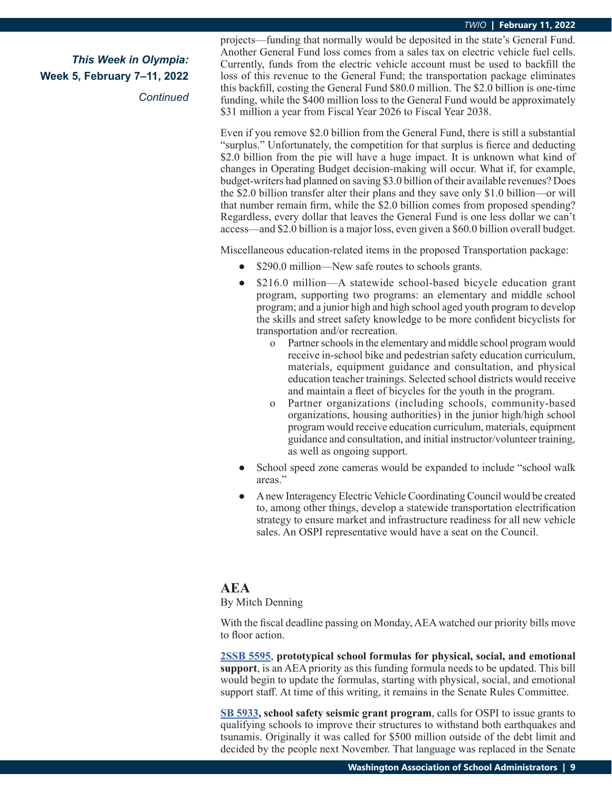## *This Week in Olympia:* **Week 5, February 7–11, 2022**

*Continued*

projects—funding that normally would be deposited in the state's General Fund. Another General Fund loss comes from a sales tax on electric vehicle fuel cells. Currently, funds from the electric vehicle account must be used to backfill the loss of this revenue to the General Fund; the transportation package eliminates this backfill, costing the General Fund \$80.0 million. The \$2.0 billion is one-time funding, while the \$400 million loss to the General Fund would be approximately \$31 million a year from Fiscal Year 2026 to Fiscal Year 2038.

Even if you remove \$2.0 billion from the General Fund, there is still a substantial "surplus." Unfortunately, the competition for that surplus is fierce and deducting \$2.0 billion from the pie will have a huge impact. It is unknown what kind of changes in Operating Budget decision-making will occur. What if, for example, budget-writers had planned on saving \$3.0 billion of their available revenues? Does the \$2.0 billion transfer alter their plans and they save only \$1.0 billion—or will that number remain firm, while the \$2.0 billion comes from proposed spending? Regardless, every dollar that leaves the General Fund is one less dollar we can't access—and \$2.0 billion is a major loss, even given a \$60.0 billion overall budget.

Miscellaneous education-related items in the proposed Transportation package:

- \$290.0 million—New safe routes to schools grants.
- **●** \$216.0 million—A statewide school-based bicycle education grant program, supporting two programs: an elementary and middle school program; and a junior high and high school aged youth program to develop the skills and street safety knowledge to be more confident bicyclists for transportation and/or recreation.
	- o Partner schools in the elementary and middle school program would receive in-school bike and pedestrian safety education curriculum, materials, equipment guidance and consultation, and physical education teacher trainings. Selected school districts would receive and maintain a fleet of bicycles for the youth in the program.
	- o Partner organizations (including schools, community-based organizations, housing authorities) in the junior high/high school program would receive education curriculum, materials, equipment guidance and consultation, and initial instructor/volunteer training, as well as ongoing support.
- School speed zone cameras would be expanded to include "school walk" areas."
- **●** A new Interagency Electric Vehicle Coordinating Council would be created to, among other things, develop a statewide transportation electrification strategy to ensure market and infrastructure readiness for all new vehicle sales. An OSPI representative would have a seat on the Council.

# **AEA**

#### By Mitch Denning

With the fiscal deadline passing on Monday, AEA watched our priority bills move to floor action.

**[2SSB 5595](https://app.leg.wa.gov/billsummary?BillNumber=5595&Initiative=false&Year=2021)**, **prototypical school formulas for physical, social, and emotional support**, is an AEA priority as this funding formula needs to be updated. This bill would begin to update the formulas, starting with physical, social, and emotional support staff. At time of this writing, it remains in the Senate Rules Committee.

**[SB 5933](https://app.leg.wa.gov/billsummary?BillNumber=5933&Initiative=false&Year=2021), school safety seismic grant program**, calls for OSPI to issue grants to qualifying schools to improve their structures to withstand both earthquakes and tsunamis. Originally it was called for \$500 million outside of the debt limit and decided by the people next November. That language was replaced in the Senate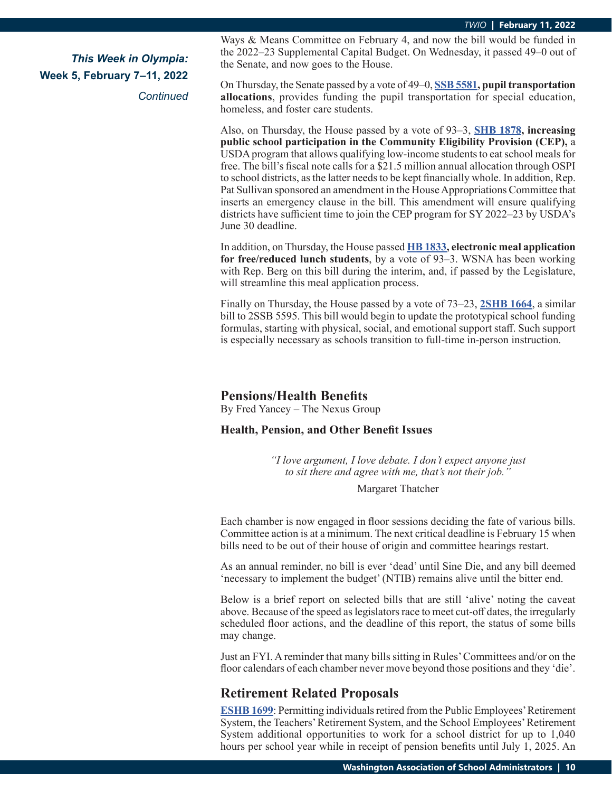*Continued*

Ways & Means Committee on February 4, and now the bill would be funded in the 2022–23 Supplemental Capital Budget. On Wednesday, it passed 49–0 out of the Senate, and now goes to the House.

On Thursday, the Senate passed by a vote of 49–0, **[SSB 5581](https://app.leg.wa.gov/billsummary?BillNumber=5581&Initiative=false&Year=2021), pupil transportation allocations**, provides funding the pupil transportation for special education, homeless, and foster care students.

Also, on Thursday, the House passed by a vote of 93–3, **[SHB 1878](https://app.leg.wa.gov/billsummary?BillNumber=1878&Initiative=false&Year=2021), increasing public school participation in the Community Eligibility Provision (CEP),** a USDA program that allows qualifying low-income students to eat school meals for free. The bill's fiscal note calls for a \$21.5 million annual allocation through OSPI to school districts, as the latter needs to be kept financially whole. In addition, Rep. Pat Sullivan sponsored an amendment in the House Appropriations Committee that inserts an emergency clause in the bill. This amendment will ensure qualifying districts have sufficient time to join the CEP program for SY 2022–23 by USDA's June 30 deadline.

In addition, on Thursday, the House passed **[HB 1833](https://app.leg.wa.gov/billsummary?BillNumber=1833&Initiative=false&Year=2021), electronic meal application for free/reduced lunch students**, by a vote of 93–3. WSNA has been working with Rep. Berg on this bill during the interim, and, if passed by the Legislature, will streamline this meal application process.

Finally on Thursday, the House passed by a vote of 73–23, **[2SHB 1664](https://app.leg.wa.gov/billsummary?BillNumber=1664&Initiative=false&Year=2021)**, a similar bill to 2SSB 5595. This bill would begin to update the prototypical school funding formulas, starting with physical, social, and emotional support staff. Such support is especially necessary as schools transition to full-time in-person instruction.

### **Pensions/Health Benefits**

By Fred Yancey – The Nexus Group

#### **Health, Pension, and Other Benefit Issues**

*"I love argument, I love debate. I don't expect anyone just to sit there and agree with me, that's not their job."* 

Margaret Thatcher

Each chamber is now engaged in floor sessions deciding the fate of various bills. Committee action is at a minimum. The next critical deadline is February 15 when bills need to be out of their house of origin and committee hearings restart.

As an annual reminder, no bill is ever 'dead' until Sine Die, and any bill deemed 'necessary to implement the budget' (NTIB) remains alive until the bitter end.

Below is a brief report on selected bills that are still 'alive' noting the caveat above. Because of the speed as legislators race to meet cut-off dates, the irregularly scheduled floor actions, and the deadline of this report, the status of some bills may change.

Just an FYI. A reminder that many bills sitting in Rules' Committees and/or on the floor calendars of each chamber never move beyond those positions and they 'die'.

## **Retirement Related Proposals**

**E[SHB 1699](https://app.leg.wa.gov/billsummary?BillNumber=1699&Initiative=false&Year=2021)**: Permitting individuals retired from the Public Employees' Retirement System, the Teachers' Retirement System, and the School Employees' Retirement System additional opportunities to work for a school district for up to 1,040 hours per school year while in receipt of pension benefits until July 1, 2025. An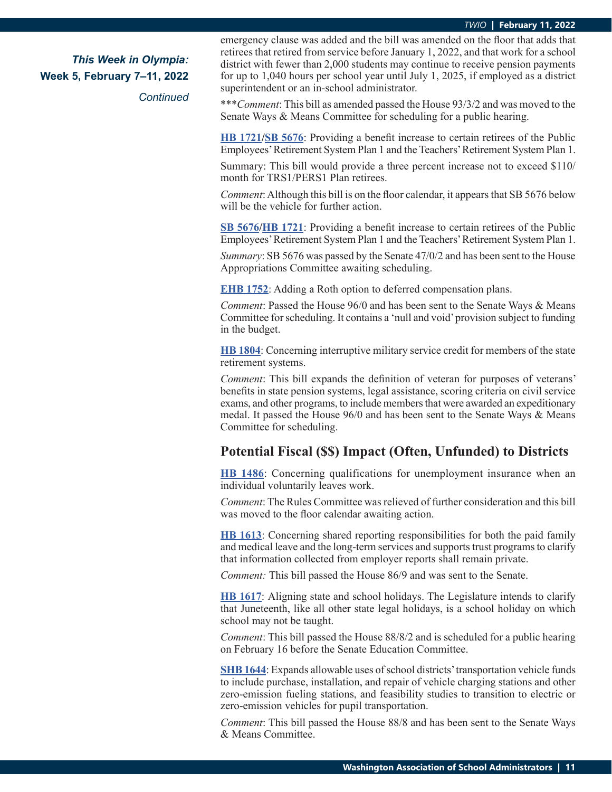*Continued*

emergency clause was added and the bill was amended on the floor that adds that retirees that retired from service before January 1, 2022, and that work for a school district with fewer than 2,000 students may continue to receive pension payments for up to 1,040 hours per school year until July 1, 2025, if employed as a district superintendent or an in-school administrator.

\*\*\**Comment*: This bill as amended passed the House 93/3/2 and was moved to the Senate Ways & Means Committee for scheduling for a public hearing.

**[HB 1721](https://app.leg.wa.gov/billsummary?BillNumber=1721&Initiative=false&Year=2021)/[SB 5676](https://app.leg.wa.gov/billsummary?BillNumber=5676&Initiative=false&Year=2021)**: Providing a benefit increase to certain retirees of the Public Employees' Retirement System Plan 1 and the Teachers' Retirement System Plan 1.

Summary: This bill would provide a three percent increase not to exceed \$110/ month for TRS1/PERS1 Plan retirees.

*Comment*: Although this bill is on the floor calendar, it appears that SB 5676 below will be the vehicle for further action.

**[SB 5676](https://app.leg.wa.gov/billsummary?BillNumber=5676&Initiative=false&Year=2021)/[HB 1721](https://app.leg.wa.gov/billsummary?BillNumber=1721&Initiative=false&Year=2021)**: Providing a benefit increase to certain retirees of the Public Employees' Retirement System Plan 1 and the Teachers' Retirement System Plan 1.

*Summary*: SB 5676 was passed by the Senate 47/0/2 and has been sent to the House Appropriations Committee awaiting scheduling.

**[EHB 1752](https://app.leg.wa.gov/billsummary?BillNumber=1752&Initiative=false&Year=2021)**: Adding a Roth option to deferred compensation plans.

*Comment*: Passed the House 96/0 and has been sent to the Senate Ways & Means Committee for scheduling. It contains a 'null and void' provision subject to funding in the budget.

**[HB 1804](https://app.leg.wa.gov/billsummary?BillNumber=1804&Year=2021&Initiative=false)**: Concerning interruptive military service credit for members of the state retirement systems.

*Comment*: This bill expands the definition of veteran for purposes of veterans' benefits in state pension systems, legal assistance, scoring criteria on civil service exams, and other programs, to include members that were awarded an expeditionary medal. It passed the House 96/0 and has been sent to the Senate Ways & Means Committee for scheduling.

## **Potential Fiscal (\$\$) Impact (Often, Unfunded) to Districts**

**[HB 1486](https://app.leg.wa.gov/billsummary?BillNumber=1486&Initiative=false&Year=2021)**: Concerning qualifications for unemployment insurance when an individual voluntarily leaves work.

*Comment*: The Rules Committee was relieved of further consideration and this bill was moved to the floor calendar awaiting action.

**[HB 1613](https://app.leg.wa.gov/billsummary?BillNumber=1613&Initiative=false&Year=2021)**: Concerning shared reporting responsibilities for both the paid family and medical leave and the long-term services and supports trust programs to clarify that information collected from employer reports shall remain private.

*Comment:* This bill passed the House 86/9 and was sent to the Senate.

**[HB 1617](https://app.leg.wa.gov/billsummary?BillNumber=1617&Initiative=false&Year=2021)**: Aligning state and school holidays. The Legislature intends to clarify that Juneteenth, like all other state legal holidays, is a school holiday on which school may not be taught.

*Comment*: This bill passed the House 88/8/2 and is scheduled for a public hearing on February 16 before the Senate Education Committee.

**[SHB 1644](https://app.leg.wa.gov/billsummary?BillNumber=1644&Initiative=false&Year=2021)**: Expands allowable uses of school districts' transportation vehicle funds to include purchase, installation, and repair of vehicle charging stations and other zero-emission fueling stations, and feasibility studies to transition to electric or zero-emission vehicles for pupil transportation.

*Comment*: This bill passed the House 88/8 and has been sent to the Senate Ways & Means Committee.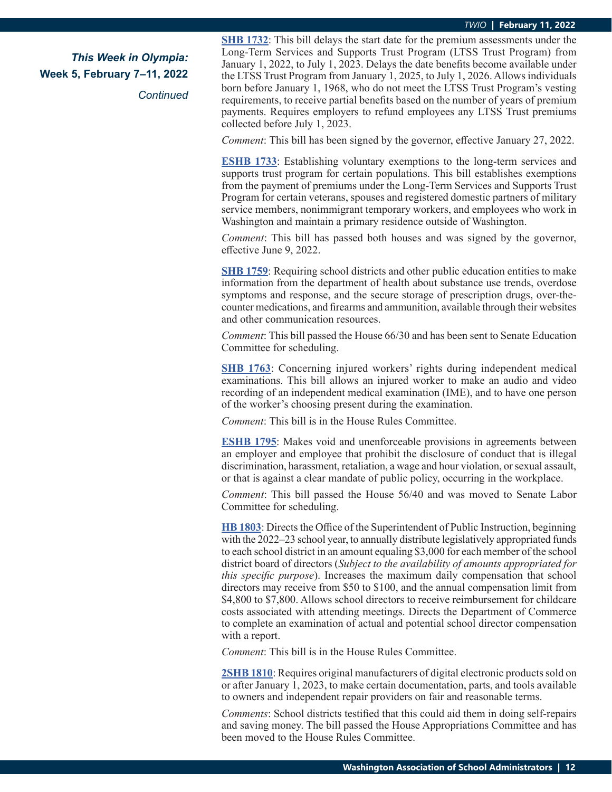*Continued*

**S[HB 1732](https://app.leg.wa.gov/billsummary?BillNumber=1732&Initiative=false&Year=2021)**: This bill delays the start date for the premium assessments under the Long-Term Services and Supports Trust Program (LTSS Trust Program) from January 1, 2022, to July 1, 2023. Delays the date benefits become available under the LTSS Trust Program from January 1, 2025, to July 1, 2026. Allows individuals born before January 1, 1968, who do not meet the LTSS Trust Program's vesting requirements, to receive partial benefits based on the number of years of premium payments. Requires employers to refund employees any LTSS Trust premiums collected before July 1, 2023.

*Comment*: This bill has been signed by the governor, effective January 27, 2022.

**E[SHB 1733](https://app.leg.wa.gov/billsummary?BillNumber=1733&Initiative=false&Year=2021)**: Establishing voluntary exemptions to the long-term services and supports trust program for certain populations. This bill establishes exemptions from the payment of premiums under the Long-Term Services and Supports Trust Program for certain veterans, spouses and registered domestic partners of military service members, nonimmigrant temporary workers, and employees who work in Washington and maintain a primary residence outside of Washington.

*Comment*: This bill has passed both houses and was signed by the governor, effective June 9, 2022.

**S[HB 1759](https://app.leg.wa.gov/billsummary?BillNumber=1759&Initiative=false&Year=2021)**: Requiring school districts and other public education entities to make information from the department of health about substance use trends, overdose symptoms and response, and the secure storage of prescription drugs, over-thecounter medications, and firearms and ammunition, available through their websites and other communication resources.

*Comment*: This bill passed the House 66/30 and has been sent to Senate Education Committee for scheduling.

**S[HB 1763](https://app.leg.wa.gov/billsummary?BillNumber=1763&Initiative=false&Year=2021)**: Concerning injured workers' rights during independent medical examinations. This bill allows an injured worker to make an audio and video recording of an independent medical examination (IME), and to have one person of the worker's choosing present during the examination.

*Comment*: This bill is in the House Rules Committee.

**[ESHB 1795](https://app.leg.wa.gov/billsummary?BillNumber=1795&Initiative=false&Year=2021)**: Makes void and unenforceable provisions in agreements between an employer and employee that prohibit the disclosure of conduct that is illegal discrimination, harassment, retaliation, a wage and hour violation, or sexual assault, or that is against a clear mandate of public policy, occurring in the workplace.

*Comment*: This bill passed the House 56/40 and was moved to Senate Labor Committee for scheduling.

**[HB 1803](https://app.leg.wa.gov/billsummary?BillNumber=1803&Initiative=false&Year=2021)**: Directs the Office of the Superintendent of Public Instruction, beginning with the 2022–23 school year, to annually distribute legislatively appropriated funds to each school district in an amount equaling \$3,000 for each member of the school district board of directors (*Subject to the availability of amounts appropriated for this specific purpose*). Increases the maximum daily compensation that school directors may receive from \$50 to \$100, and the annual compensation limit from \$4,800 to \$7,800. Allows school directors to receive reimbursement for childcare costs associated with attending meetings. Directs the Department of Commerce to complete an examination of actual and potential school director compensation with a report.

*Comment*: This bill is in the House Rules Committee.

**[2SHB 1810](https://app.leg.wa.gov/billsummary?BillNumber=1810&Initiative=false&Year=2021)**: Requires original manufacturers of digital electronic products sold on or after January 1, 2023, to make certain documentation, parts, and tools available to owners and independent repair providers on fair and reasonable terms.

*Comments*: School districts testified that this could aid them in doing self-repairs and saving money. The bill passed the House Appropriations Committee and has been moved to the House Rules Committee.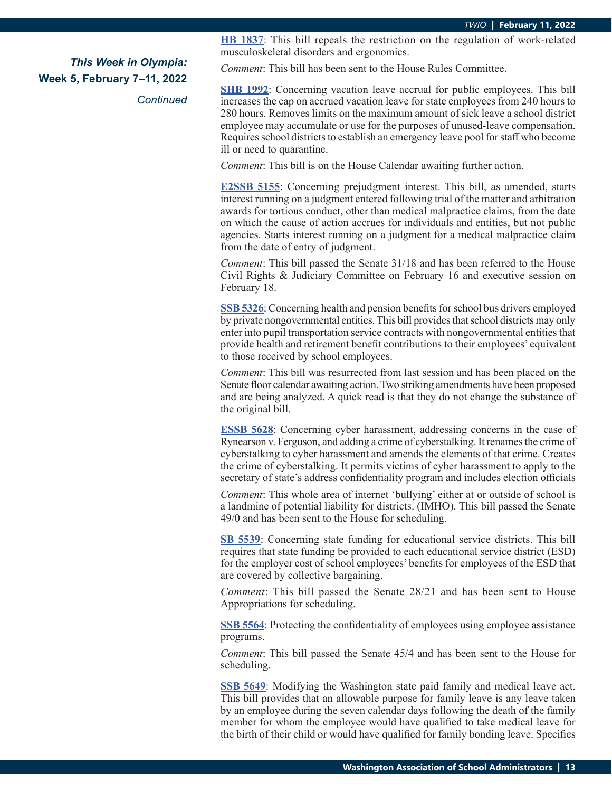*Continued*

**[HB 1837](https://app.leg.wa.gov/billsummary?BillNumber=1837&Initiative=false&Year=2021)**: This bill repeals the restriction on the regulation of work-related musculoskeletal disorders and ergonomics.

*Comment*: This bill has been sent to the House Rules Committee.

**S[HB 1992](https://app.leg.wa.gov/billsummary?BillNumber=1992&Initiative=false&Year=2021)**: Concerning vacation leave accrual for public employees. This bill increases the cap on accrued vacation leave for state employees from 240 hours to 280 hours. Removes limits on the maximum amount of sick leave a school district employee may accumulate or use for the purposes of unused-leave compensation. Requires school districts to establish an emergency leave pool for staff who become ill or need to quarantine.

*Comment*: This bill is on the House Calendar awaiting further action.

**[E2SSB 5155](https://app.leg.wa.gov/billsummary?BillNumber=5155&Initiative=false&Year=2021)**: Concerning prejudgment interest. This bill, as amended, starts interest running on a judgment entered following trial of the matter and arbitration awards for tortious conduct, other than medical malpractice claims, from the date on which the cause of action accrues for individuals and entities, but not public agencies. Starts interest running on a judgment for a medical malpractice claim from the date of entry of judgment.

*Comment*: This bill passed the Senate 31/18 and has been referred to the House Civil Rights & Judiciary Committee on February 16 and executive session on February 18.

**[SSB 5326](https://app.leg.wa.gov/billsummary?BillNumber=5326&Initiative=false&Year=2021)**: Concerning health and pension benefits for school bus drivers employed by private nongovernmental entities. This bill provides that school districts may only enter into pupil transportation service contracts with nongovernmental entities that provide health and retirement benefit contributions to their employees' equivalent to those received by school employees.

*Comment*: This bill was resurrected from last session and has been placed on the Senate floor calendar awaiting action. Two striking amendments have been proposed and are being analyzed. A quick read is that they do not change the substance of the original bill.

**[ESSB 5628](https://app.leg.wa.gov/billsummary?BillNumber=5628&Initiative=false&Year=2021)**: Concerning cyber harassment, addressing concerns in the case of Rynearson v. Ferguson, and adding a crime of cyberstalking. It renames the crime of cyberstalking to cyber harassment and amends the elements of that crime. Creates the crime of cyberstalking. It permits victims of cyber harassment to apply to the secretary of state's address confidentiality program and includes election officials

*Comment*: This whole area of internet 'bullying' either at or outside of school is a landmine of potential liability for districts. (IMHO). This bill passed the Senate 49/0 and has been sent to the House for scheduling.

**[SB 5539](https://app.leg.wa.gov/billsummary?BillNumber=5539&Initiative=false&Year=2021)**: Concerning state funding for educational service districts. This bill requires that state funding be provided to each educational service district (ESD) for the employer cost of school employees' benefits for employees of the ESD that are covered by collective bargaining.

*Comment*: This bill passed the Senate 28/21 and has been sent to House Appropriations for scheduling.

**[SSB 5564](https://app.leg.wa.gov/billsummary?BillNumber=5564&Initiative=false&Year=2021)**: Protecting the confidentiality of employees using employee assistance programs.

*Comment*: This bill passed the Senate 45/4 and has been sent to the House for scheduling.

**[SSB 5649](https://app.leg.wa.gov/billsummary?BillNumber=5649&Initiative=false&Year=2021)**: Modifying the Washington state paid family and medical leave act. This bill provides that an allowable purpose for family leave is any leave taken by an employee during the seven calendar days following the death of the family member for whom the employee would have qualified to take medical leave for the birth of their child or would have qualified for family bonding leave. Specifies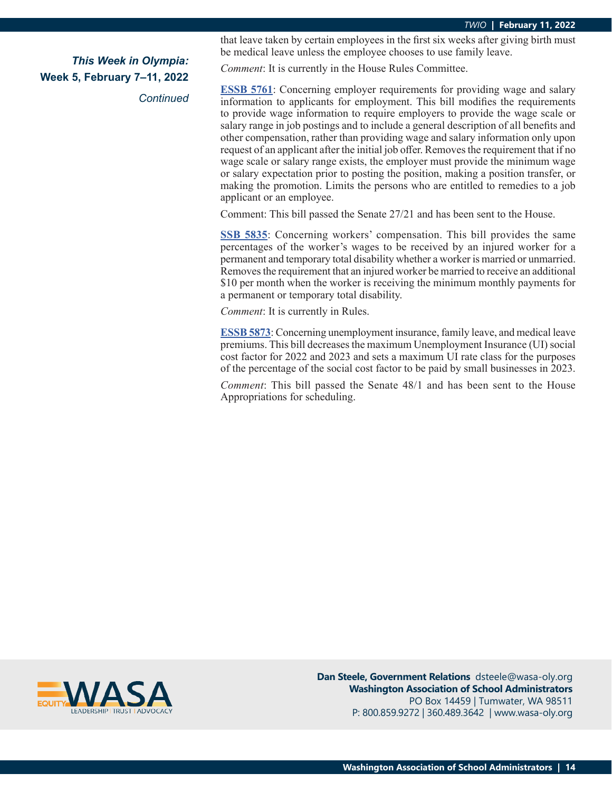*Continued*

that leave taken by certain employees in the first six weeks after giving birth must be medical leave unless the employee chooses to use family leave.

*Comment*: It is currently in the House Rules Committee.

**[ESSB 5761](https://app.leg.wa.gov/billsummary?BillNumber=5761&Initiative=false&Year=2021)**: Concerning employer requirements for providing wage and salary information to applicants for employment. This bill modifies the requirements to provide wage information to require employers to provide the wage scale or salary range in job postings and to include a general description of all benefits and other compensation, rather than providing wage and salary information only upon request of an applicant after the initial job offer. Removes the requirement that if no wage scale or salary range exists, the employer must provide the minimum wage or salary expectation prior to posting the position, making a position transfer, or making the promotion. Limits the persons who are entitled to remedies to a job applicant or an employee.

Comment: This bill passed the Senate 27/21 and has been sent to the House.

**S[SB 5835](https://app.leg.wa.gov/billsummary?BillNumber=5835&Initiative=false&Year=2021)**: Concerning workers' compensation. This bill provides the same percentages of the worker's wages to be received by an injured worker for a permanent and temporary total disability whether a worker is married or unmarried. Removes the requirement that an injured worker be married to receive an additional \$10 per month when the worker is receiving the minimum monthly payments for a permanent or temporary total disability.

*Comment*: It is currently in Rules.

**E[SSB 5873](https://app.leg.wa.gov/billsummary?BillNumber=5873&Initiative=false&Year=2021)**: Concerning unemployment insurance, family leave, and medical leave premiums. This bill decreases the maximum Unemployment Insurance (UI) social cost factor for 2022 and 2023 and sets a maximum UI rate class for the purposes of the percentage of the social cost factor to be paid by small businesses in 2023.

*Comment*: This bill passed the Senate 48/1 and has been sent to the House Appropriations for scheduling.



**Dan Steele, Government Relations** dsteele@wasa-oly.org **Washington Association of School Administrators** PO Box 14459 | Tumwater, WA 98511 P: 800.859.9272 | 360.489.3642 | www.wasa-oly.org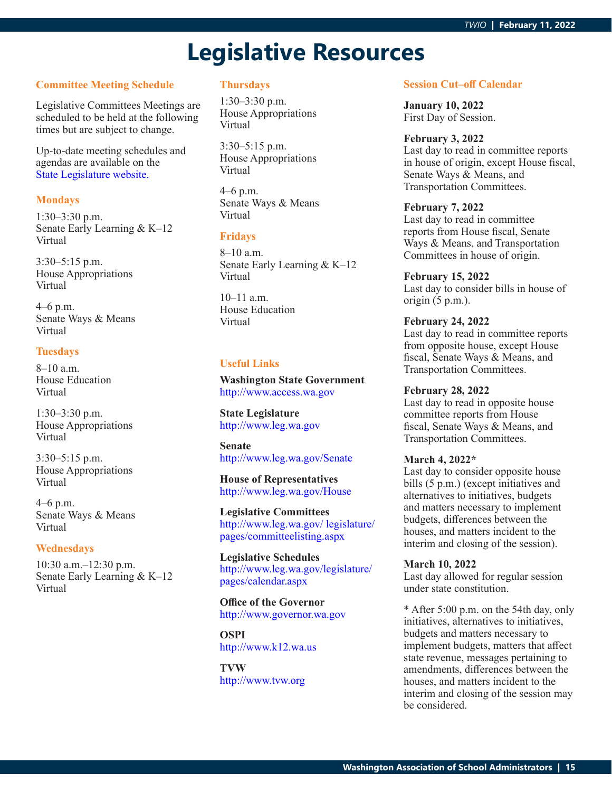# **Legislative Resources**

## **Committee Meeting Schedule**

Legislative Committees Meetings are scheduled to be held at the following times but are subject to change.

Up-to-date meeting schedules and agendas are available on the [State Legislature website.](http://www.leg.wa.gov/legislature/pages/calendar.aspx)

#### **Mondays**

1:30–3:30 p.m. Senate Early Learning & K–12 Virtual

3:30–5:15 p.m. House Appropriations Virtual

4–6 p.m. Senate Ways & Means Virtual

#### **Tuesdays**

8–10 a.m. House Education Virtual

1:30–3:30 p.m. House Appropriations Virtual

3:30–5:15 p.m. House Appropriations Virtual

4–6 p.m. Senate Ways & Means Virtual

#### **Wednesdays**

10:30 a.m.–12:30 p.m. Senate Early Learning & K–12 Virtual

## **Thursdays**

1:30–3:30 p.m. House Appropriations Virtual

3:30–5:15 p.m. House Appropriations Virtual

4–6 p.m. Senate Ways & Means Virtual

#### **Fridays**

8–10 a.m. Senate Early Learning & K–12 Virtual

10–11 a.m. House Education Virtual

## **Useful Links**

**Washington State Government** <http://www.access.wa.gov>

**State Legislature** <http://www.leg.wa.gov>

**Senate** <http://www.leg.wa.gov/Senate>

**House of Representatives** <http://www.leg.wa.gov/House>

**Legislative Committees** [http://www.leg.wa.gov/ legislature/](http://www.leg.wa.gov/ legislature/pages/committeelisting.aspx) [pages/committeelisting.aspx](http://www.leg.wa.gov/ legislature/pages/committeelisting.aspx)

**Legislative Schedules** [http://www.leg.wa.gov/legislature/](http://www.leg.wa.gov/legislature/pages/calendar.aspx) [pages/calendar.aspx](http://www.leg.wa.gov/legislature/pages/calendar.aspx)

**Office of the Governor** <http://www.governor.wa.gov>

**OSPI** <http://www.k12.wa.us>

**TVW** <http://www.tvw.org>

#### **Session Cut–off Calendar**

**January 10, 2022** First Day of Session.

#### **February 3, 2022**

Last day to read in committee reports in house of origin, except House fiscal, Senate Ways & Means, and Transportation Committees.

#### **February 7, 2022**

Last day to read in committee reports from House fiscal, Senate Ways & Means, and Transportation Committees in house of origin.

#### **February 15, 2022**

Last day to consider bills in house of origin (5 p.m.).

#### **February 24, 2022**

Last day to read in committee reports from opposite house, except House fiscal, Senate Ways & Means, and Transportation Committees.

#### **February 28, 2022**

Last day to read in opposite house committee reports from House fiscal, Senate Ways & Means, and Transportation Committees.

#### **March 4, 2022\***

Last day to consider opposite house bills (5 p.m.) (except initiatives and alternatives to initiatives, budgets and matters necessary to implement budgets, differences between the houses, and matters incident to the interim and closing of the session).

#### **March 10, 2022**

Last day allowed for regular session under state constitution.

\* After 5:00 p.m. on the 54th day, only initiatives, alternatives to initiatives, budgets and matters necessary to implement budgets, matters that affect state revenue, messages pertaining to amendments, differences between the houses, and matters incident to the interim and closing of the session may be considered.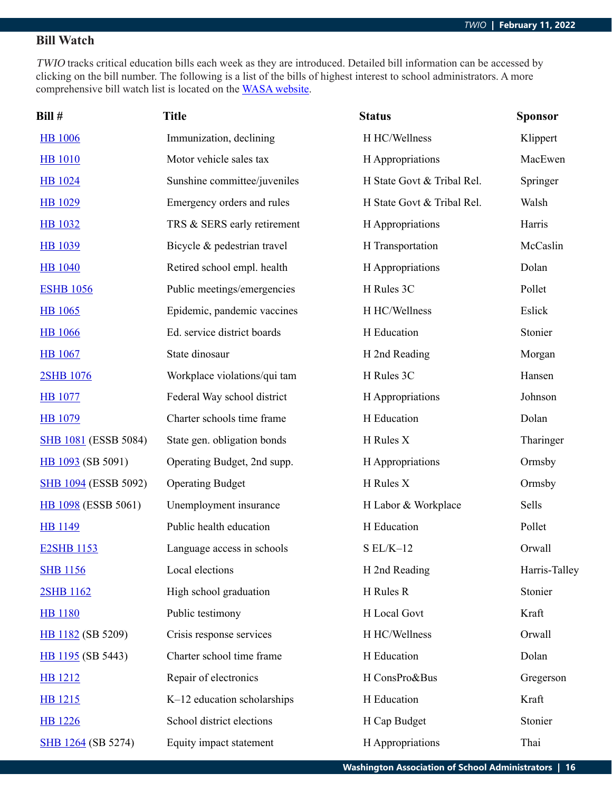## **Bill Watch**

TWIO tracks critical education bills each week as they are introduced. Detailed bill information can be accessed by clicking on the bill number. The following is a list of the bills of highest interest to school administrators. A more comprehensive bill watch list is located on the [WASA website](http://wasa-oly.org/wasa/WASA/Government_Relations/Action_Center/2019_WASA_Bill_Watch/WASA/4_0_Government_Relations/Materials/Bill_Watch/Bill_Watch.aspx?hkey=eee1bb39-a099-43b7-8a1b-1262f2966f1a).

| Bill #                      | <b>Title</b>                 | <b>Status</b>              | <b>Sponsor</b> |
|-----------------------------|------------------------------|----------------------------|----------------|
| <b>HB</b> 1006              | Immunization, declining      | H HC/Wellness              | Klippert       |
| <b>HB</b> 1010              | Motor vehicle sales tax      | H Appropriations           | MacEwen        |
| <b>HB</b> 1024              | Sunshine committee/juveniles | H State Govt & Tribal Rel. | Springer       |
| <b>HB</b> 1029              | Emergency orders and rules   | H State Govt & Tribal Rel. | Walsh          |
| <b>HB</b> 1032              | TRS & SERS early retirement  | H Appropriations           | Harris         |
| <b>HB</b> 1039              | Bicycle & pedestrian travel  | H Transportation           | McCaslin       |
| <b>HB</b> 1040              | Retired school empl. health  | H Appropriations           | Dolan          |
| <b>ESHB 1056</b>            | Public meetings/emergencies  | H Rules 3C                 | Pollet         |
| HB 1065                     | Epidemic, pandemic vaccines  | H HC/Wellness              | Eslick         |
| <b>HB</b> 1066              | Ed. service district boards  | H Education                | Stonier        |
| <b>HB</b> 1067              | State dinosaur               | H 2nd Reading              | Morgan         |
| 2SHB 1076                   | Workplace violations/qui tam | H Rules 3C                 | Hansen         |
| <b>HB</b> 1077              | Federal Way school district  | H Appropriations           | Johnson        |
| <b>HB</b> 1079              | Charter schools time frame   | H Education                | Dolan          |
| <b>SHB 1081 (ESSB 5084)</b> | State gen. obligation bonds  | H Rules X                  | Tharinger      |
| HB 1093 (SB 5091)           | Operating Budget, 2nd supp.  | H Appropriations           | Ormsby         |
| <b>SHB 1094 (ESSB 5092)</b> | <b>Operating Budget</b>      | H Rules X                  | Ormsby         |
| <b>HB</b> 1098 (ESSB 5061)  | Unemployment insurance       | H Labor & Workplace        | Sells          |
| <b>HB</b> 1149              | Public health education      | H Education                | Pollet         |
| <b>E2SHB 1153</b>           | Language access in schools   | $S EL/K-12$                | Orwall         |
| <b>SHB 1156</b>             | Local elections              | H 2nd Reading              | Harris-Talley  |
| 2SHB 1162                   | High school graduation       | H Rules R                  | Stonier        |
| <b>HB</b> 1180              | Public testimony             | H Local Govt               | Kraft          |
| HB 1182 (SB 5209)           | Crisis response services     | H HC/Wellness              | Orwall         |
| HB 1195 (SB 5443)           | Charter school time frame    | H Education                | Dolan          |
| <b>HB</b> 1212              | Repair of electronics        | H ConsPro&Bus              | Gregerson      |
| HB 1215                     | K-12 education scholarships  | H Education                | Kraft          |
| <b>HB</b> 1226              | School district elections    | H Cap Budget               | Stonier        |
| SHB 1264 (SB 5274)          | Equity impact statement      | H Appropriations           | Thai           |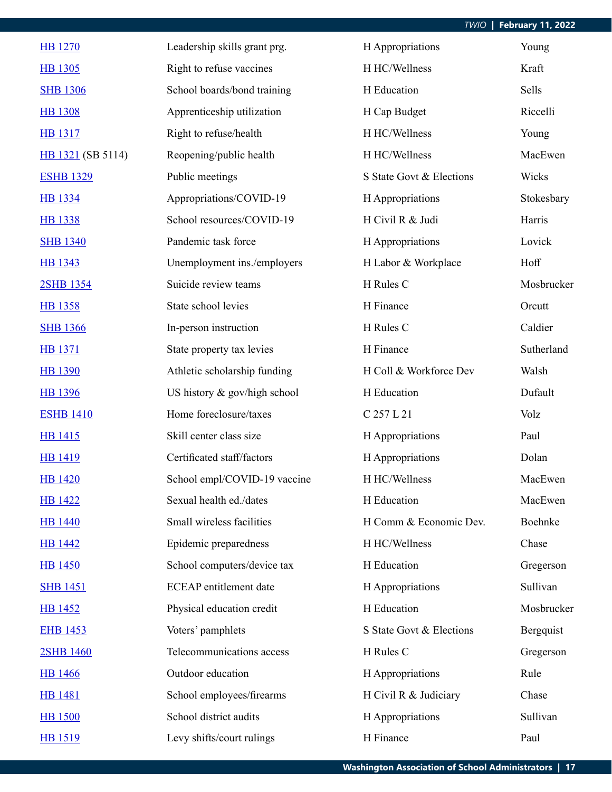| <b>HB</b> 1270    | Leadership skills grant prg.  | H Appropriations         | Young      |
|-------------------|-------------------------------|--------------------------|------------|
| HB 1305           | Right to refuse vaccines      | H HC/Wellness            | Kraft      |
| <b>SHB 1306</b>   | School boards/bond training   | H Education              | Sells      |
| <b>HB 1308</b>    | Apprenticeship utilization    | H Cap Budget             | Riccelli   |
| <b>HB</b> 1317    | Right to refuse/health        | H HC/Wellness            | Young      |
| HB 1321 (SB 5114) | Reopening/public health       | H HC/Wellness            | MacEwen    |
| <b>ESHB 1329</b>  | Public meetings               | S State Govt & Elections | Wicks      |
| <b>HB</b> 1334    | Appropriations/COVID-19       | H Appropriations         | Stokesbary |
| <b>HB 1338</b>    | School resources/COVID-19     | H Civil R & Judi         | Harris     |
| <b>SHB 1340</b>   | Pandemic task force           | H Appropriations         | Lovick     |
| HB 1343           | Unemployment ins./employers   | H Labor & Workplace      | Hoff       |
| 2SHB 1354         | Suicide review teams          | H Rules C                | Mosbrucker |
| <b>HB</b> 1358    | State school levies           | H Finance                | Orcutt     |
| <b>SHB 1366</b>   | In-person instruction         | H Rules C                | Caldier    |
| HB 1371           | State property tax levies     | H Finance                | Sutherland |
| <b>HB 1390</b>    | Athletic scholarship funding  | H Coll & Workforce Dev   | Walsh      |
| <b>HB</b> 1396    | US history & gov/high school  | H Education              | Dufault    |
| <b>ESHB 1410</b>  | Home foreclosure/taxes        | C 257 L 21               | Volz       |
| HB 1415           | Skill center class size       | H Appropriations         | Paul       |
| <b>HB</b> 1419    | Certificated staff/factors    | H Appropriations         | Dolan      |
| <b>HB</b> 1420    | School empl/COVID-19 vaccine  | H HC/Wellness            | MacEwen    |
| <b>HB 1422</b>    | Sexual health ed./dates       | H Education              | MacEwen    |
| <b>HB</b> 1440    | Small wireless facilities     | H Comm & Economic Dev.   | Boehnke    |
| <b>HB</b> 1442    | Epidemic preparedness         | H HC/Wellness            | Chase      |
| <b>HB</b> 1450    | School computers/device tax   | H Education              | Gregerson  |
| <b>SHB 1451</b>   | <b>ECEAP</b> entitlement date | H Appropriations         | Sullivan   |
| <b>HB 1452</b>    | Physical education credit     | H Education              | Mosbrucker |
| <b>EHB 1453</b>   | Voters' pamphlets             | S State Govt & Elections | Bergquist  |
| 2SHB 1460         | Telecommunications access     | H Rules C                | Gregerson  |
| <b>HB</b> 1466    | Outdoor education             | H Appropriations         | Rule       |
| <b>HB</b> 1481    | School employees/firearms     | H Civil R & Judiciary    | Chase      |
| <b>HB 1500</b>    | School district audits        | H Appropriations         | Sullivan   |
| HB 1519           | Levy shifts/court rulings     | H Finance                | Paul       |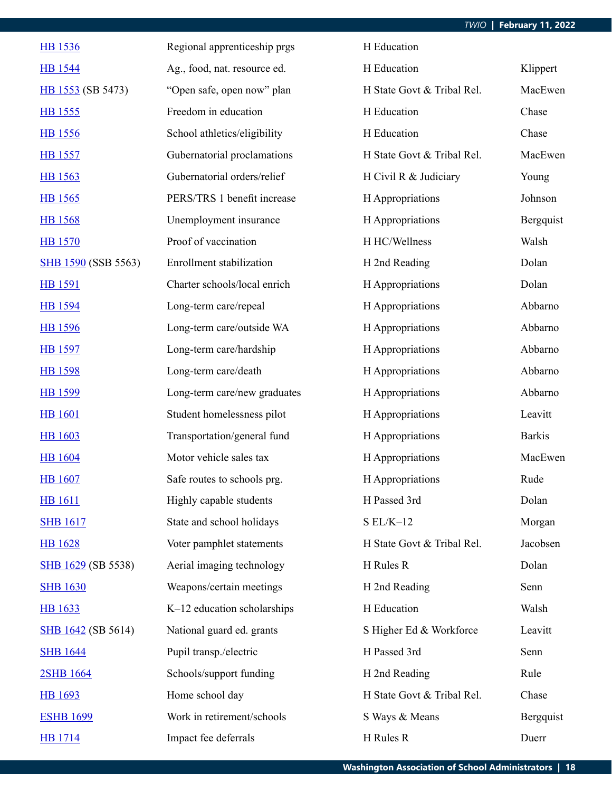| <b>HB</b> 1536             | Regional apprenticeship prgs | H Education                |               |
|----------------------------|------------------------------|----------------------------|---------------|
| <b>HB</b> 1544             | Ag., food, nat. resource ed. | H Education                | Klippert      |
| HB 1553 (SB 5473)          | "Open safe, open now" plan   | H State Govt & Tribal Rel. | MacEwen       |
| HB 1555                    | Freedom in education         | H Education                | Chase         |
| HB 1556                    | School athletics/eligibility | H Education                | Chase         |
| <b>HB</b> 1557             | Gubernatorial proclamations  | H State Govt & Tribal Rel. | MacEwen       |
| <b>HB</b> 1563             | Gubernatorial orders/relief  | H Civil R & Judiciary      | Young         |
| HB 1565                    | PERS/TRS 1 benefit increase  | H Appropriations           | Johnson       |
| <b>HB</b> 1568             | Unemployment insurance       | H Appropriations           | Bergquist     |
| <b>HB</b> 1570             | Proof of vaccination         | H HC/Wellness              | Walsh         |
| <b>SHB 1590 (SSB 5563)</b> | Enrollment stabilization     | H 2nd Reading              | Dolan         |
| <b>HB</b> 1591             | Charter schools/local enrich | H Appropriations           | Dolan         |
| HB 1594                    | Long-term care/repeal        | H Appropriations           | Abbarno       |
| <b>HB</b> 1596             | Long-term care/outside WA    | H Appropriations           | Abbarno       |
| <b>HB</b> 1597             | Long-term care/hardship      | H Appropriations           | Abbarno       |
| <b>HB</b> 1598             | Long-term care/death         | H Appropriations           | Abbarno       |
| HB 1599                    | Long-term care/new graduates | H Appropriations           | Abbarno       |
| <b>HB</b> 1601             | Student homelessness pilot   | H Appropriations           | Leavitt       |
| <b>HB</b> 1603             | Transportation/general fund  | H Appropriations           | <b>Barkis</b> |
| <b>HB</b> 1604             | Motor vehicle sales tax      | H Appropriations           | MacEwen       |
| <b>HB</b> 1607             | Safe routes to schools prg.  | H Appropriations           | Rude          |
| <b>HB</b> 1611             | Highly capable students      | H Passed 3rd               | Dolan         |
| <b>SHB 1617</b>            | State and school holidays    | $S EL/K-12$                | Morgan        |
| <b>HB</b> 1628             | Voter pamphlet statements    | H State Govt & Tribal Rel. | Jacobsen      |
| SHB 1629 (SB 5538)         | Aerial imaging technology    | H Rules R                  | Dolan         |
| <b>SHB 1630</b>            | Weapons/certain meetings     | H 2nd Reading              | Senn          |
| <b>HB</b> 1633             | K-12 education scholarships  | H Education                | Walsh         |
| <b>SHB</b> 1642 (SB 5614)  | National guard ed. grants    | S Higher Ed & Workforce    | Leavitt       |
| <b>SHB 1644</b>            | Pupil transp./electric       | H Passed 3rd               | Senn          |
| 2SHB 1664                  | Schools/support funding      | H 2nd Reading              | Rule          |
| HB 1693                    | Home school day              | H State Govt & Tribal Rel. | Chase         |
| <b>ESHB 1699</b>           | Work in retirement/schools   | S Ways & Means             | Bergquist     |
| <b>HB</b> 1714             | Impact fee deferrals         | H Rules R                  | Duerr         |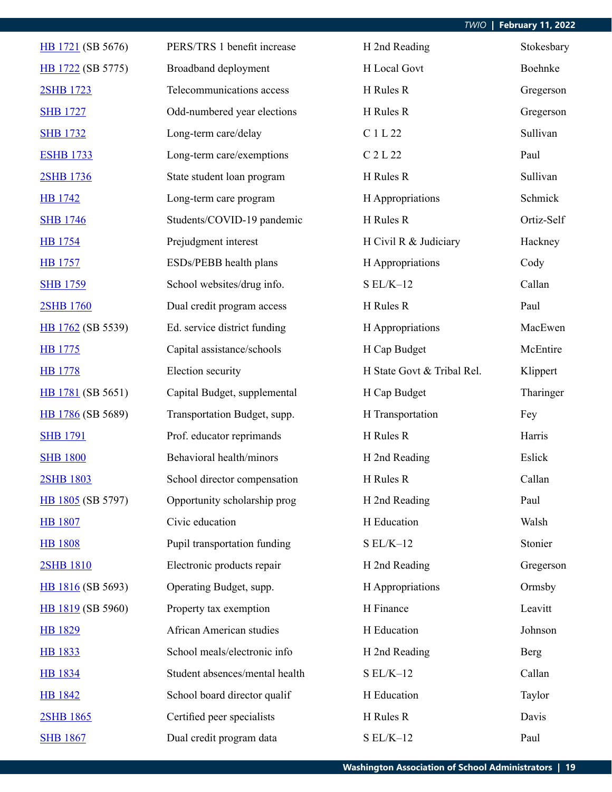| HB 1721 (SB 5676) | PERS/TRS 1 benefit increase    | H 2nd Reading              | Stokesbary |
|-------------------|--------------------------------|----------------------------|------------|
| HB 1722 (SB 5775) | Broadband deployment           | H Local Govt               | Boehnke    |
| 2SHB 1723         | Telecommunications access      | H Rules R                  | Gregerson  |
| <b>SHB 1727</b>   | Odd-numbered year elections    | H Rules R                  | Gregerson  |
| <b>SHB 1732</b>   | Long-term care/delay           | C 1 L 22                   | Sullivan   |
| <b>ESHB 1733</b>  | Long-term care/exemptions      | C 2 L 22                   | Paul       |
| 2SHB 1736         | State student loan program     | H Rules R                  | Sullivan   |
| <b>HB</b> 1742    | Long-term care program         | H Appropriations           | Schmick    |
| <b>SHB 1746</b>   | Students/COVID-19 pandemic     | H Rules R                  | Ortiz-Self |
| <b>HB</b> 1754    | Prejudgment interest           | H Civil R & Judiciary      | Hackney    |
| <b>HB</b> 1757    | ESDs/PEBB health plans         | H Appropriations           | Cody       |
| <b>SHB 1759</b>   | School websites/drug info.     | $SL/K-12$                  | Callan     |
| 2SHB 1760         | Dual credit program access     | H Rules R                  | Paul       |
| HB 1762 (SB 5539) | Ed. service district funding   | H Appropriations           | MacEwen    |
| HB 1775           | Capital assistance/schools     | H Cap Budget               | McEntire   |
| <b>HB</b> 1778    | Election security              | H State Govt & Tribal Rel. | Klippert   |
| HB 1781 (SB 5651) | Capital Budget, supplemental   | H Cap Budget               | Tharinger  |
| HB 1786 (SB 5689) | Transportation Budget, supp.   | H Transportation           | Fey        |
| <b>SHB 1791</b>   | Prof. educator reprimands      | H Rules R                  | Harris     |
| <b>SHB 1800</b>   | Behavioral health/minors       | H 2nd Reading              | Eslick     |
| 2SHB 1803         | School director compensation   | H Rules R                  | Callan     |
| HB 1805 (SB 5797) | Opportunity scholarship prog   | H 2nd Reading              | Paul       |
| <b>HB</b> 1807    | Civic education                | H Education                | Walsh      |
| <b>HB 1808</b>    | Pupil transportation funding   | $SL/K-12$                  | Stonier    |
| 2SHB 1810         | Electronic products repair     | H 2nd Reading              | Gregerson  |
| HB 1816 (SB 5693) | Operating Budget, supp.        | H Appropriations           | Ormsby     |
| HB 1819 (SB 5960) | Property tax exemption         | H Finance                  | Leavitt    |
| HB 1829           | African American studies       | H Education                | Johnson    |
| <b>HB</b> 1833    | School meals/electronic info   | H 2nd Reading              | Berg       |
| <b>HB</b> 1834    | Student absences/mental health | $SL/K-12$                  | Callan     |
| <b>HB 1842</b>    | School board director qualif   | H Education                | Taylor     |
| 2SHB 1865         | Certified peer specialists     | H Rules R                  | Davis      |
| <b>SHB 1867</b>   | Dual credit program data       | $S EL/K-12$                | Paul       |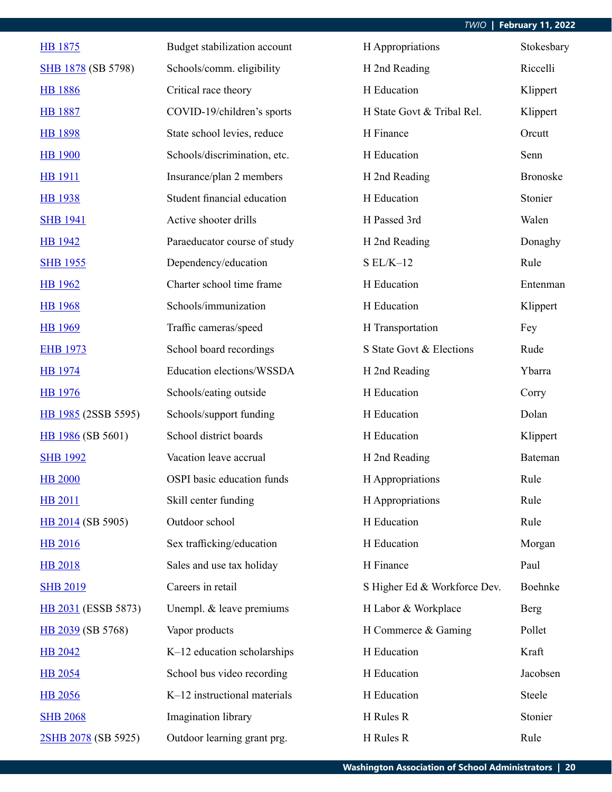| HB 1875                   | Budget stabilization account | H Appropriations             | Stokesbary      |
|---------------------------|------------------------------|------------------------------|-----------------|
| <b>SHB 1878</b> (SB 5798) | Schools/comm. eligibility    | H 2nd Reading                | Riccelli        |
| <b>HB</b> 1886            | Critical race theory         | H Education                  | Klippert        |
| <b>HB 1887</b>            | COVID-19/children's sports   | H State Govt & Tribal Rel.   | Klippert        |
| <b>HB 1898</b>            | State school levies, reduce  | H Finance                    | Orcutt          |
| <b>HB</b> 1900            | Schools/discrimination, etc. | H Education                  | Senn            |
| <b>HB</b> 1911            | Insurance/plan 2 members     | H 2nd Reading                | <b>Bronoske</b> |
| <b>HB</b> 1938            | Student financial education  | H Education                  | Stonier         |
| <b>SHB 1941</b>           | Active shooter drills        | H Passed 3rd                 | Walen           |
| HB 1942                   | Paraeducator course of study | H 2nd Reading                | Donaghy         |
| <b>SHB 1955</b>           | Dependency/education         | $S EL/K-12$                  | Rule            |
| <b>HB</b> 1962            | Charter school time frame    | H Education                  | Entenman        |
| <b>HB</b> 1968            | Schools/immunization         | H Education                  | Klippert        |
| <b>HB</b> 1969            | Traffic cameras/speed        | H Transportation             | Fey             |
| <b>EHB 1973</b>           | School board recordings      | S State Govt & Elections     | Rude            |
| <b>HB</b> 1974            | Education elections/WSSDA    | H 2nd Reading                | Ybarra          |
| <b>HB</b> 1976            | Schools/eating outside       | H Education                  | Corry           |
| HB 1985 (2SSB 5595)       | Schools/support funding      | H Education                  | Dolan           |
| HB 1986 (SB 5601)         | School district boards       | H Education                  | Klippert        |
| <b>SHB 1992</b>           | Vacation leave accrual       | H 2nd Reading                | Bateman         |
| <b>HB 2000</b>            | OSPI basic education funds   | H Appropriations             | Rule            |
| <b>HB 2011</b>            | Skill center funding         | H Appropriations             | Rule            |
| HB 2014 (SB 5905)         | Outdoor school               | H Education                  | Rule            |
| <b>HB 2016</b>            | Sex trafficking/education    | H Education                  | Morgan          |
| <b>HB 2018</b>            | Sales and use tax holiday    | H Finance                    | Paul            |
| <b>SHB 2019</b>           | Careers in retail            | S Higher Ed & Workforce Dev. | Boehnke         |
| HB 2031 (ESSB 5873)       | Unempl. & leave premiums     | H Labor & Workplace          | Berg            |
| HB 2039 (SB 5768)         | Vapor products               | H Commerce & Gaming          | Pollet          |
| <b>HB 2042</b>            | K-12 education scholarships  | H Education                  | Kraft           |
| <b>HB</b> 2054            | School bus video recording   | H Education                  | Jacobsen        |
| <b>HB</b> 2056            | K-12 instructional materials | H Education                  | Steele          |
| <b>SHB 2068</b>           | Imagination library          | H Rules R                    | Stonier         |
| 2SHB 2078 (SB 5925)       | Outdoor learning grant prg.  | H Rules R                    | Rule            |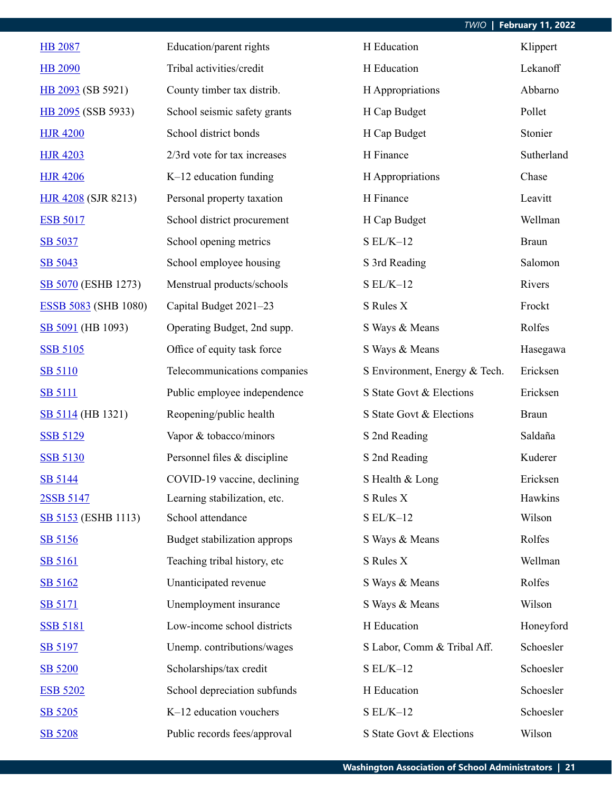| <b>HB 2087</b>              | Education/parent rights      | H Education                   | Klippert     |
|-----------------------------|------------------------------|-------------------------------|--------------|
| <b>HB 2090</b>              | Tribal activities/credit     | H Education                   | Lekanoff     |
| HB 2093 (SB 5921)           | County timber tax distrib.   | H Appropriations              | Abbarno      |
| HB 2095 (SSB 5933)          | School seismic safety grants | H Cap Budget                  | Pollet       |
| <b>HJR 4200</b>             | School district bonds        | H Cap Budget                  | Stonier      |
| <b>HJR 4203</b>             | 2/3rd vote for tax increases | H Finance                     | Sutherland   |
| <b>HJR 4206</b>             | $K-12$ education funding     | H Appropriations              | Chase        |
| <b>HJR 4208 (SJR 8213)</b>  | Personal property taxation   | H Finance                     | Leavitt      |
| <b>ESB 5017</b>             | School district procurement  | H Cap Budget                  | Wellman      |
| SB 5037                     | School opening metrics       | $S EL/K-12$                   | <b>Braun</b> |
| SB 5043                     | School employee housing      | S 3rd Reading                 | Salomon      |
| SB 5070 (ESHB 1273)         | Menstrual products/schools   | $S EL/K-12$                   | Rivers       |
| <b>ESSB 5083 (SHB 1080)</b> | Capital Budget 2021-23       | S Rules X                     | Frockt       |
| SB 5091 (HB 1093)           | Operating Budget, 2nd supp.  | S Ways & Means                | Rolfes       |
| <b>SSB 5105</b>             | Office of equity task force  | S Ways & Means                | Hasegawa     |
| <b>SB 5110</b>              | Telecommunications companies | S Environment, Energy & Tech. | Ericksen     |
| <b>SB 5111</b>              | Public employee independence | S State Govt & Elections      | Ericksen     |
| <b>SB 5114</b> (HB 1321)    | Reopening/public health      | S State Govt & Elections      | <b>Braun</b> |
| <b>SSB 5129</b>             | Vapor & tobacco/minors       | S 2nd Reading                 | Saldaña      |
| <b>SSB 5130</b>             | Personnel files & discipline | S 2nd Reading                 | Kuderer      |
| SB 5144                     | COVID-19 vaccine, declining  | S Health & Long               | Ericksen     |
| 2SSB 5147                   | Learning stabilization, etc. | S Rules X                     | Hawkins      |
| <b>SB 5153</b> (ESHB 1113)  | School attendance            | $S EL/K-12$                   | Wilson       |
| SB 5156                     | Budget stabilization approps | S Ways & Means                | Rolfes       |
| <b>SB 5161</b>              | Teaching tribal history, etc | S Rules X                     | Wellman      |
| SB 5162                     | Unanticipated revenue        | S Ways & Means                | Rolfes       |
| <b>SB 5171</b>              | Unemployment insurance       | S Ways & Means                | Wilson       |
| <b>SSB 5181</b>             | Low-income school districts  | H Education                   | Honeyford    |
| SB 5197                     | Unemp. contributions/wages   | S Labor, Comm & Tribal Aff.   | Schoesler    |
| SB 5200                     | Scholarships/tax credit      | $SL/K-12$                     | Schoesler    |
| <b>ESB 5202</b>             | School depreciation subfunds | H Education                   | Schoesler    |
| SB 5205                     | K-12 education vouchers      | $S EL/K-12$                   | Schoesler    |
| SB 5208                     | Public records fees/approval | S State Govt & Elections      | Wilson       |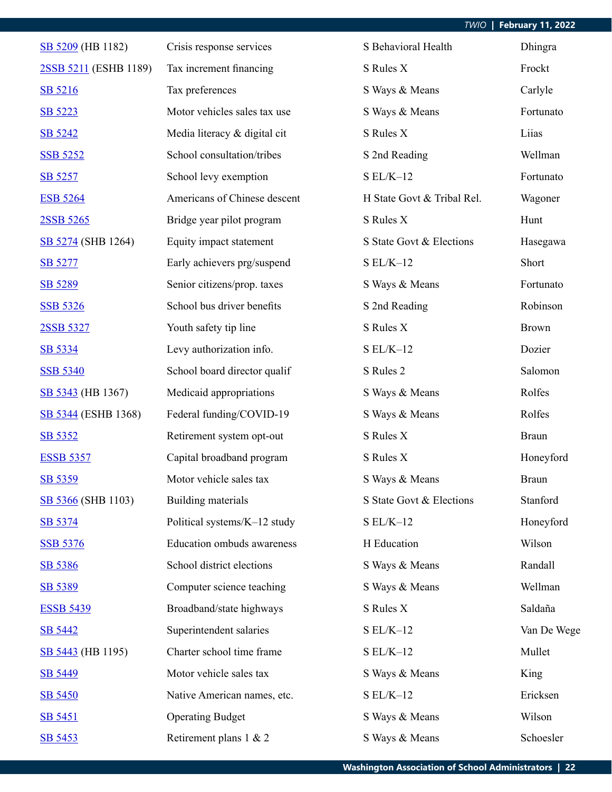| SB 5209 (HB 1182)          | Crisis response services     | S Behavioral Health        | Dhingra      |
|----------------------------|------------------------------|----------------------------|--------------|
| 2SSB 5211 (ESHB 1189)      | Tax increment financing      | S Rules X                  | Frockt       |
| SB 5216                    | Tax preferences              | S Ways & Means             | Carlyle      |
| SB 5223                    | Motor vehicles sales tax use | S Ways & Means             | Fortunato    |
| SB 5242                    | Media literacy & digital cit | S Rules X                  | Liias        |
| <b>SSB 5252</b>            | School consultation/tribes   | S 2nd Reading              | Wellman      |
| SB 5257                    | School levy exemption        | $S EL/K-12$                | Fortunato    |
| <b>ESB 5264</b>            | Americans of Chinese descent | H State Govt & Tribal Rel. | Wagoner      |
| 2SSB 5265                  | Bridge year pilot program    | S Rules X                  | Hunt         |
| SB 5274 (SHB 1264)         | Equity impact statement      | S State Govt & Elections   | Hasegawa     |
| SB 5277                    | Early achievers prg/suspend  | $S EL/K-12$                | Short        |
| SB 5289                    | Senior citizens/prop. taxes  | S Ways & Means             | Fortunato    |
| <b>SSB 5326</b>            | School bus driver benefits   | S 2nd Reading              | Robinson     |
| 2SSB 5327                  | Youth safety tip line        | S Rules X                  | <b>Brown</b> |
| SB 5334                    | Levy authorization info.     | $S EL/K-12$                | Dozier       |
| <b>SSB 5340</b>            | School board director qualif | S Rules 2                  | Salomon      |
| SB 5343 (HB 1367)          | Medicaid appropriations      | S Ways & Means             | Rolfes       |
| <b>SB 5344 (ESHB 1368)</b> | Federal funding/COVID-19     | S Ways & Means             | Rolfes       |
| SB 5352                    | Retirement system opt-out    | S Rules X                  | <b>Braun</b> |
| <b>ESSB 5357</b>           | Capital broadband program    | S Rules X                  | Honeyford    |
| SB 5359                    | Motor vehicle sales tax      | S Ways & Means             | <b>Braun</b> |
| SB 5366 (SHB 1103)         | Building materials           | S State Govt & Elections   | Stanford     |
| SB 5374                    | Political systems/K-12 study | $S EL/K-12$                | Honeyford    |
| <b>SSB 5376</b>            | Education ombuds awareness   | H Education                | Wilson       |
| SB 5386                    | School district elections    | S Ways & Means             | Randall      |
| SB 5389                    | Computer science teaching    | S Ways & Means             | Wellman      |
| <b>ESSB 5439</b>           | Broadband/state highways     | S Rules X                  | Saldaña      |
| SB 5442                    | Superintendent salaries      | $S EL/K-12$                | Van De Wege  |
| SB 5443 (HB 1195)          | Charter school time frame    | $S EL/K-12$                | Mullet       |
| SB 5449                    | Motor vehicle sales tax      | S Ways & Means             | King         |
| <b>SB 5450</b>             | Native American names, etc.  | $SL/K-12$                  | Ericksen     |
| SB 5451                    | <b>Operating Budget</b>      | S Ways & Means             | Wilson       |
| SB 5453                    | Retirement plans 1 & 2       | S Ways & Means             | Schoesler    |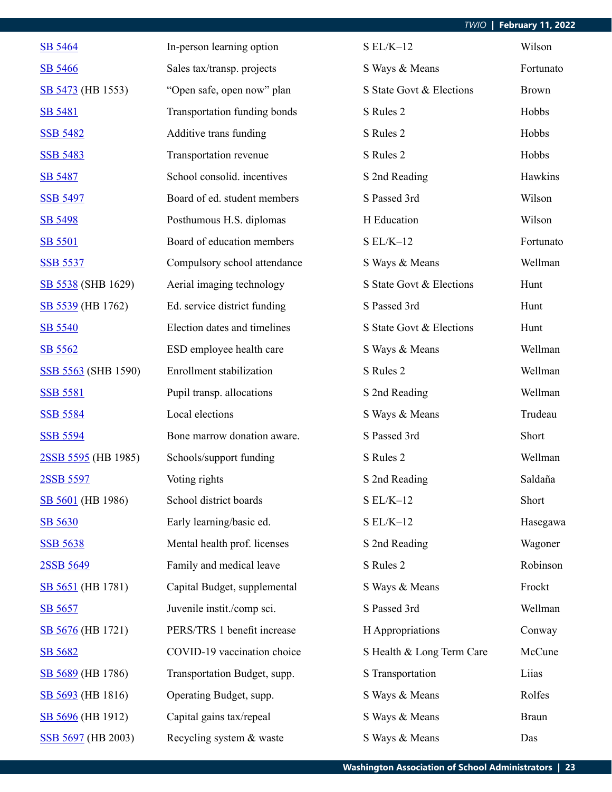| SB 5464             | In-person learning option    | $S EL/K-12$               | Wilson       |
|---------------------|------------------------------|---------------------------|--------------|
| SB 5466             | Sales tax/transp. projects   | S Ways & Means            | Fortunato    |
| SB 5473 (HB 1553)   | "Open safe, open now" plan   | S State Govt & Elections  | <b>Brown</b> |
| SB 5481             | Transportation funding bonds | S Rules 2                 | Hobbs        |
| <b>SSB 5482</b>     | Additive trans funding       | S Rules 2                 | Hobbs        |
| <b>SSB 5483</b>     | Transportation revenue       | S Rules 2                 | Hobbs        |
| SB 5487             | School consolid. incentives  | S 2nd Reading             | Hawkins      |
| <b>SSB 5497</b>     | Board of ed. student members | S Passed 3rd              | Wilson       |
| SB 5498             | Posthumous H.S. diplomas     | H Education               | Wilson       |
| SB 5501             | Board of education members   | $S EL/K-12$               | Fortunato    |
| <b>SSB 5537</b>     | Compulsory school attendance | S Ways & Means            | Wellman      |
| SB 5538 (SHB 1629)  | Aerial imaging technology    | S State Govt & Elections  | Hunt         |
| SB 5539 (HB 1762)   | Ed. service district funding | S Passed 3rd              | Hunt         |
| SB 5540             | Election dates and timelines | S State Govt & Elections  | Hunt         |
| SB 5562             | ESD employee health care     | S Ways & Means            | Wellman      |
| SSB 5563 (SHB 1590) | Enrollment stabilization     | S Rules 2                 | Wellman      |
| <b>SSB 5581</b>     | Pupil transp. allocations    | S 2nd Reading             | Wellman      |
| <b>SSB 5584</b>     | Local elections              | S Ways & Means            | Trudeau      |
| <b>SSB 5594</b>     | Bone marrow donation aware.  | S Passed 3rd              | Short        |
| 2SSB 5595 (HB 1985) | Schools/support funding      | S Rules 2                 | Wellman      |
| 2SSB 5597           | Voting rights                | S 2nd Reading             | Saldaña      |
| SB 5601 (HB 1986)   | School district boards       | $S EL/K-12$               | Short        |
| SB 5630             | Early learning/basic ed.     | $S EL/K-12$               | Hasegawa     |
| <b>SSB 5638</b>     | Mental health prof. licenses | S 2nd Reading             | Wagoner      |
| 2SSB 5649           | Family and medical leave     | S Rules 2                 | Robinson     |
| SB 5651 (HB 1781)   | Capital Budget, supplemental | S Ways & Means            | Frockt       |
| SB 5657             | Juvenile instit./comp sci.   | S Passed 3rd              | Wellman      |
| SB 5676 (HB 1721)   | PERS/TRS 1 benefit increase  | H Appropriations          | Conway       |
| SB 5682             | COVID-19 vaccination choice  | S Health & Long Term Care | McCune       |
| SB 5689 (HB 1786)   | Transportation Budget, supp. | S Transportation          | Liias        |
| SB 5693 (HB 1816)   | Operating Budget, supp.      | S Ways & Means            | Rolfes       |
| SB 5696 (HB 1912)   | Capital gains tax/repeal     | S Ways & Means            | <b>Braun</b> |
| SSB 5697 (HB 2003)  | Recycling system & waste     | S Ways & Means            | Das          |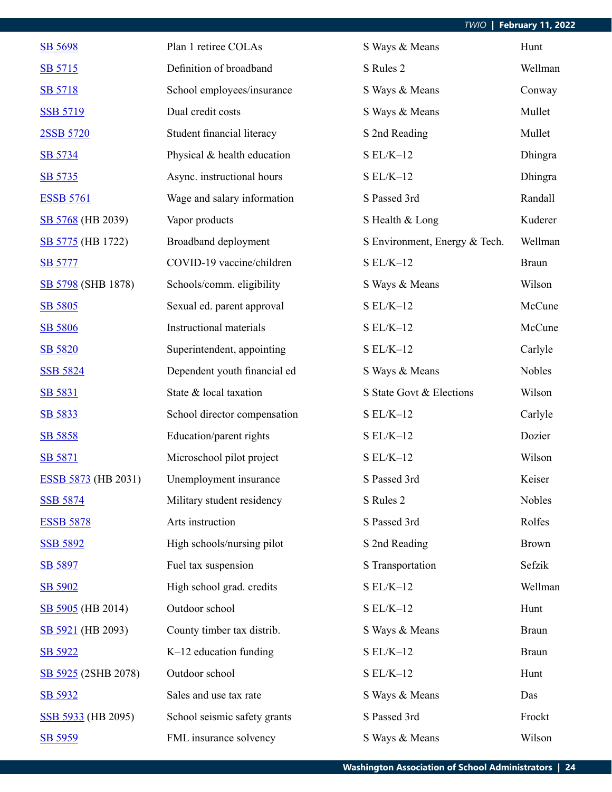| SB 5698                    | Plan 1 retiree COLAs         | S Ways & Means                | Hunt         |
|----------------------------|------------------------------|-------------------------------|--------------|
| SB 5715                    | Definition of broadband      | S Rules 2                     | Wellman      |
| SB 5718                    | School employees/insurance   | S Ways & Means                | Conway       |
| <b>SSB 5719</b>            | Dual credit costs            | S Ways & Means                | Mullet       |
| 2SSB 5720                  | Student financial literacy   | S 2nd Reading                 | Mullet       |
| SB 5734                    | Physical & health education  | $S EL/K-12$                   | Dhingra      |
| SB 5735                    | Async. instructional hours   | $SL/K-12$                     | Dhingra      |
| <b>ESSB 5761</b>           | Wage and salary information  | S Passed 3rd                  | Randall      |
| SB 5768 (HB 2039)          | Vapor products               | S Health & Long               | Kuderer      |
| SB 5775 (HB 1722)          | Broadband deployment         | S Environment, Energy & Tech. | Wellman      |
| <b>SB 5777</b>             | COVID-19 vaccine/children    | $SL/K-12$                     | <b>Braun</b> |
| SB 5798 (SHB 1878)         | Schools/comm. eligibility    | S Ways & Means                | Wilson       |
| SB 5805                    | Sexual ed. parent approval   | $SL/K-12$                     | McCune       |
| SB 5806                    | Instructional materials      | $S EL/K-12$                   | McCune       |
| SB 5820                    | Superintendent, appointing   | $S EL/K-12$                   | Carlyle      |
| <b>SSB 5824</b>            | Dependent youth financial ed | S Ways & Means                | Nobles       |
| SB 5831                    | State & local taxation       | S State Govt & Elections      | Wilson       |
| SB 5833                    | School director compensation | $S EL/K-12$                   | Carlyle      |
| SB 5858                    | Education/parent rights      | $S EL/K-12$                   | Dozier       |
| SB 5871                    | Microschool pilot project    | $S EL/K-12$                   | Wilson       |
| <b>ESSB 5873</b> (HB 2031) | Unemployment insurance       | S Passed 3rd                  | Keiser       |
| <b>SSB 5874</b>            | Military student residency   | S Rules 2                     | Nobles       |
| <b>ESSB 5878</b>           | Arts instruction             | S Passed 3rd                  | Rolfes       |
| <b>SSB 5892</b>            | High schools/nursing pilot   | S 2nd Reading                 | <b>Brown</b> |
| SB 5897                    | Fuel tax suspension          | S Transportation              | Sefzik       |
| SB 5902                    | High school grad. credits    | $SL/K-12$                     | Wellman      |
| SB 5905 (HB 2014)          | Outdoor school               | $S EL/K-12$                   | Hunt         |
| SB 5921 (HB 2093)          | County timber tax distrib.   | S Ways & Means                | <b>Braun</b> |
| SB 5922                    | $K-12$ education funding     | $S EL/K-12$                   | <b>Braun</b> |
| SB 5925 (2SHB 2078)        | Outdoor school               | $S EL/K-12$                   | Hunt         |
| SB 5932                    | Sales and use tax rate       | S Ways & Means                | Das          |
| SSB 5933 (HB 2095)         | School seismic safety grants | S Passed 3rd                  | Frockt       |
| SB 5959                    | FML insurance solvency       | S Ways & Means                | Wilson       |